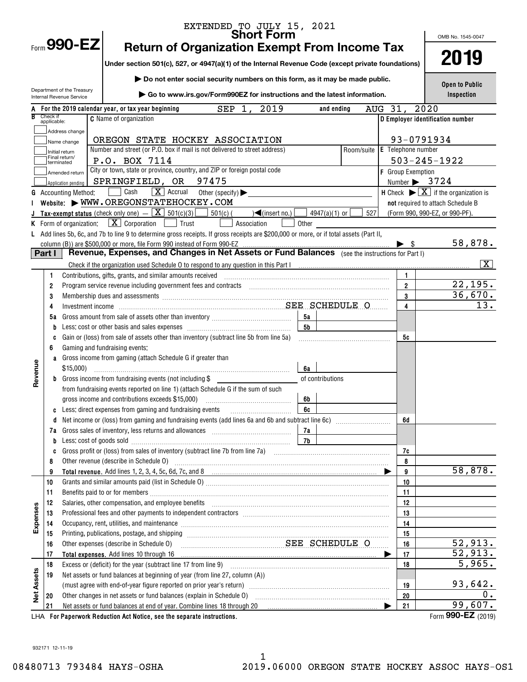|                   |             |                                               | EXTENDED TO JULY 15, 2021                                                                                                                                                                                                            |           |                  |            |         |                                         |      |                                                                         |  |
|-------------------|-------------|-----------------------------------------------|--------------------------------------------------------------------------------------------------------------------------------------------------------------------------------------------------------------------------------------|-----------|------------------|------------|---------|-----------------------------------------|------|-------------------------------------------------------------------------|--|
|                   |             | Form $990$ -EZ                                |                                                                                                                                                                                                                                      |           |                  |            |         |                                         |      | OMB No. 1545-0047                                                       |  |
|                   |             |                                               | <b>Return of Organization Exempt From Income Tax</b>                                                                                                                                                                                 |           |                  |            |         |                                         |      | 2019                                                                    |  |
|                   |             |                                               | Under section 501(c), 527, or 4947(a)(1) of the Internal Revenue Code (except private foundations)                                                                                                                                   |           |                  |            |         |                                         |      |                                                                         |  |
|                   |             |                                               | Do not enter social security numbers on this form, as it may be made public.                                                                                                                                                         |           |                  |            |         |                                         |      |                                                                         |  |
|                   |             | Department of the Treasury                    |                                                                                                                                                                                                                                      |           |                  |            |         |                                         |      | <b>Open to Public</b>                                                   |  |
|                   |             | Internal Revenue Service                      | ▶ Go to www.irs.gov/Form990EZ for instructions and the latest information.                                                                                                                                                           |           |                  |            |         |                                         |      | Inspection                                                              |  |
| R                 | Check if    |                                               | 2019<br>$SEP 1$ ,<br>For the 2019 calendar year, or tax year beginning                                                                                                                                                               |           | and ending       |            | AUG 31, |                                         | 2020 |                                                                         |  |
|                   | applicable: |                                               | <b>C</b> Name of organization                                                                                                                                                                                                        |           |                  |            |         |                                         |      | D Employer identification number                                        |  |
|                   |             | Address change                                | OREGON STATE HOCKEY ASSOCIATION                                                                                                                                                                                                      |           |                  |            |         |                                         |      |                                                                         |  |
|                   |             | Name change                                   | Number and street (or P.O. box if mail is not delivered to street address)                                                                                                                                                           |           |                  | Room/suite |         | 93-0791934<br><b>E</b> Telephone number |      |                                                                         |  |
|                   |             | Initial return<br>Final return/<br>terminated | P.O. BOX 7114                                                                                                                                                                                                                        |           |                  |            |         |                                         |      | $503 - 245 - 1922$                                                      |  |
|                   |             | Amended return                                | City or town, state or province, country, and ZIP or foreign postal code                                                                                                                                                             |           |                  |            |         | F Group Exemption                       |      |                                                                         |  |
|                   |             | Application pending                           | SPRINGFIELD, OR<br>97475                                                                                                                                                                                                             |           |                  |            |         | Number $\triangleright$ 3724            |      |                                                                         |  |
| G                 |             | <b>Accounting Method:</b>                     | $\boxed{\mathbf{X}}$ Accrual<br>Cash<br>Other (specify) $\blacktriangleright$                                                                                                                                                        |           |                  |            |         |                                         |      | H Check $\blacktriangleright \boxed{\mathbf{X}}$ if the organization is |  |
|                   |             |                                               | Website: WWW.OREGONSTATEHOCKEY.COM                                                                                                                                                                                                   |           |                  |            |         |                                         |      | not required to attach Schedule B                                       |  |
|                   |             |                                               | <b>Tax-exempt status</b> (check only one) $-\boxed{\mathbf{X}}$ 501(c)(3) 501(c)(<br>$\sqrt{\frac{2}{1}}$ (insert no.)                                                                                                               |           | $4947(a)(1)$ or  | 527        |         |                                         |      | (Form 990, 990-EZ, or 990-PF).                                          |  |
|                   |             | K Form of organization:                       | $\lfloor x \rfloor$ Corporation $\lfloor x \rfloor$<br>  Trust<br>Association                                                                                                                                                        | Other     |                  |            |         |                                         |      |                                                                         |  |
|                   |             |                                               | L Add lines 5b, 6c, and 7b to line 9 to determine gross receipts. If gross receipts are \$200,000 or more, or if total assets (Part II,                                                                                              |           |                  |            |         |                                         |      |                                                                         |  |
|                   | Part I      |                                               | column (B)) are \$500,000 or more, file Form 990 instead of Form 990-EZ<br>Revenue, Expenses, and Changes in Net Assets or Fund Balances (see the instructions for Part I)                                                           |           |                  |            |         | $\blacktriangleright$ s                 |      | 58,878.                                                                 |  |
|                   |             |                                               | Check if the organization used Schedule O to respond to any question in this Part I manufactured contains and the organization used Schedule O to respond to any question in this Part I                                             |           |                  |            |         |                                         |      | X                                                                       |  |
|                   | 1           |                                               | Contributions, gifts, grants, and similar amounts received                                                                                                                                                                           |           |                  |            |         | 1.                                      |      |                                                                         |  |
|                   | 2           |                                               | Program service revenue including government fees and contracts [11] matter contains an increase the including overnment fees and contracts [11] matter contains an increase the program service in the Program service in the       |           |                  |            |         | $\overline{2}$                          |      | 22,195.                                                                 |  |
|                   | 3           |                                               | Membership dues and assessments [11, 12] Membership dues and assessments [11, 12] Membership dues and assessments [11, 12] Membership dues and assessments [11, 12] Membership dues and assessments [11, 12] Membership dues a       |           |                  |            |         | 3                                       |      | 36,670.                                                                 |  |
|                   | 4           |                                               |                                                                                                                                                                                                                                      |           |                  |            |         | 4                                       |      | 13.                                                                     |  |
|                   | 5а          |                                               |                                                                                                                                                                                                                                      | 5а        |                  |            |         |                                         |      |                                                                         |  |
|                   | b           |                                               |                                                                                                                                                                                                                                      | <b>5b</b> |                  |            |         |                                         |      |                                                                         |  |
|                   | C           |                                               | Gain or (loss) from sale of assets other than inventory (subtract line 5b from line 5a)                                                                                                                                              |           |                  |            |         | 5c                                      |      |                                                                         |  |
|                   | 6           |                                               | Gaming and fundraising events:                                                                                                                                                                                                       |           |                  |            |         |                                         |      |                                                                         |  |
|                   |             |                                               | a Gross income from gaming (attach Schedule G if greater than                                                                                                                                                                        |           |                  |            |         |                                         |      |                                                                         |  |
|                   |             | $$15,000$ )                                   |                                                                                                                                                                                                                                      | 6а        |                  |            |         |                                         |      |                                                                         |  |
| Revenue           |             |                                               | Gross income from fundraising events (not including \$                                                                                                                                                                               |           | of contributions |            |         |                                         |      |                                                                         |  |
|                   |             |                                               | from fundraising events reported on line 1) (attach Schedule G if the sum of such                                                                                                                                                    |           |                  |            |         |                                         |      |                                                                         |  |
|                   |             |                                               |                                                                                                                                                                                                                                      | 6b        |                  |            |         |                                         |      |                                                                         |  |
|                   |             |                                               |                                                                                                                                                                                                                                      |           |                  |            |         |                                         |      |                                                                         |  |
|                   | d           |                                               |                                                                                                                                                                                                                                      |           |                  |            |         | 6d                                      |      |                                                                         |  |
|                   |             |                                               |                                                                                                                                                                                                                                      | 7а<br>7b  |                  |            |         |                                         |      |                                                                         |  |
|                   | b<br>C      |                                               | Less: cost of goods sold with an annumerator and contact the sold contact the set of goods sold                                                                                                                                      |           |                  |            |         | 7с                                      |      |                                                                         |  |
|                   | 8           |                                               | Other revenue (describe in Schedule O) <i>manual contract contract contract contract contract contract contract contract contract contract contract contract contract contract contract contract contract contract contract cont</i> |           |                  |            |         | 8                                       |      |                                                                         |  |
|                   | 9           |                                               |                                                                                                                                                                                                                                      |           |                  |            |         | 9                                       |      | 58,878.                                                                 |  |
|                   | 10          |                                               |                                                                                                                                                                                                                                      |           |                  |            |         | 10                                      |      |                                                                         |  |
|                   | 11          |                                               |                                                                                                                                                                                                                                      |           |                  |            |         | 11                                      |      |                                                                         |  |
|                   | 12          |                                               | Salaries, other compensation, and employee benefits [11] manufactures and the comparison of the compensation,                                                                                                                        |           |                  |            |         | 12                                      |      |                                                                         |  |
| Expenses          | 13          |                                               |                                                                                                                                                                                                                                      |           |                  |            |         | 13                                      |      |                                                                         |  |
|                   | 14          |                                               | Occupancy, rent, utilities, and maintenance material contains and an arrangement of the material contains and                                                                                                                        |           |                  |            |         | 14                                      |      |                                                                         |  |
|                   | 15          |                                               |                                                                                                                                                                                                                                      |           |                  |            |         | 15                                      |      |                                                                         |  |
|                   | 16          |                                               | SEE SCHEDULE O<br>Other expenses (describe in Schedule O)                                                                                                                                                                            |           |                  |            |         | 16                                      |      | 52,913.                                                                 |  |
|                   | 17          |                                               |                                                                                                                                                                                                                                      |           |                  |            |         | 17                                      |      | $\overline{52,913}$ .                                                   |  |
|                   | 18          |                                               |                                                                                                                                                                                                                                      |           |                  |            |         | 18                                      |      | 5,965.                                                                  |  |
|                   | 19          |                                               | Net assets or fund balances at beginning of year (from line 27, column (A))                                                                                                                                                          |           |                  |            |         |                                         |      | 93,642.                                                                 |  |
| <b>Net Assets</b> | 20          |                                               | Other changes in net assets or fund balances (explain in Schedule O)                                                                                                                                                                 |           |                  |            |         | 19<br>20                                |      | 0.                                                                      |  |
|                   | 21          |                                               |                                                                                                                                                                                                                                      |           |                  |            |         | 21                                      |      | 99,607.                                                                 |  |
|                   |             |                                               |                                                                                                                                                                                                                                      |           |                  |            |         |                                         |      |                                                                         |  |

LHA For Paperwork Reduction Act Notice, see the separate instructions. Form 990-**L**Z (2019)

Form **990-EZ** (2019)

932171 12-11-19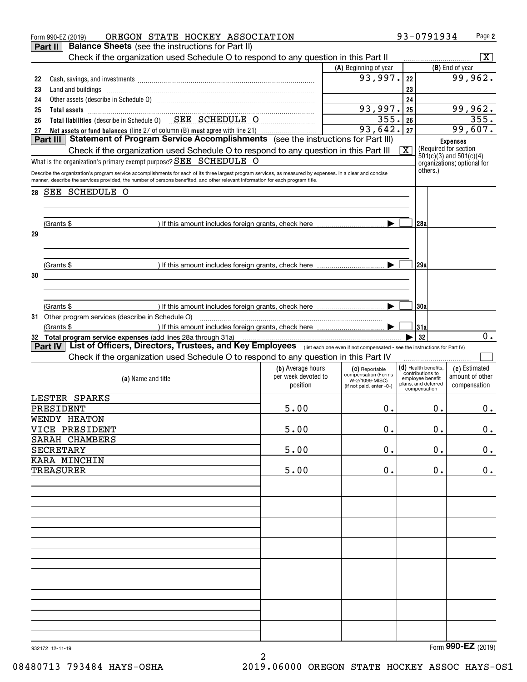|    | OREGON STATE HOCKEY ASSOCIATION<br>Form 990-EZ (2019)                                                                                                                                                                                                                                          |                                          |                                            |                         | 93-0791934                                 | Page 2                                               |  |
|----|------------------------------------------------------------------------------------------------------------------------------------------------------------------------------------------------------------------------------------------------------------------------------------------------|------------------------------------------|--------------------------------------------|-------------------------|--------------------------------------------|------------------------------------------------------|--|
|    | <b>Balance Sheets</b> (see the instructions for Part II)<br>Part II                                                                                                                                                                                                                            |                                          |                                            |                         |                                            |                                                      |  |
|    | Check if the organization used Schedule O to respond to any question in this Part II                                                                                                                                                                                                           |                                          |                                            |                         |                                            | $\overline{\mathbf{X}}$                              |  |
|    |                                                                                                                                                                                                                                                                                                |                                          | (A) Beginning of year                      |                         |                                            | (B) End of year                                      |  |
| 22 |                                                                                                                                                                                                                                                                                                |                                          | $93,997.$  22                              |                         |                                            | 99,962.                                              |  |
| 23 |                                                                                                                                                                                                                                                                                                |                                          |                                            | 23                      |                                            |                                                      |  |
| 24 |                                                                                                                                                                                                                                                                                                |                                          |                                            | 24                      |                                            |                                                      |  |
| 25 | Total assets <b>continuous continuous continuous continuous continuous</b> continuous continuous continuous continuous                                                                                                                                                                         |                                          | 93,997.                                    | 25                      |                                            | 99,962.                                              |  |
| 26 | Total liabilities (describe in Schedule 0) SEE SCHEDULE O                                                                                                                                                                                                                                      |                                          | 355.26                                     |                         |                                            | 355.                                                 |  |
| 27 | Net assets or fund balances (line 27 of column (B) must agree with line 21)                                                                                                                                                                                                                    |                                          | 93,642.  27                                |                         |                                            | 99,607.                                              |  |
|    | Part III Statement of Program Service Accomplishments (see the instructions for Part III)                                                                                                                                                                                                      |                                          |                                            |                         |                                            | <b>Expenses</b>                                      |  |
|    | Check if the organization used Schedule O to respond to any question in this Part III                                                                                                                                                                                                          |                                          |                                            | $\overline{\mathbf{x}}$ |                                            | (Required for section<br>$501(c)(3)$ and $501(c)(4)$ |  |
|    | What is the organization's primary exempt purpose? SEE SCHEDULE O                                                                                                                                                                                                                              |                                          |                                            |                         |                                            | organizations; optional for                          |  |
|    | Describe the organization's program service accomplishments for each of its three largest program services, as measured by expenses. In a clear and concise<br>manner, describe the services provided, the number of persons benefited, and other relevant information for each program title. |                                          |                                            |                         | others.)                                   |                                                      |  |
|    |                                                                                                                                                                                                                                                                                                |                                          |                                            |                         |                                            |                                                      |  |
| 28 | SEE SCHEDULE O                                                                                                                                                                                                                                                                                 |                                          |                                            |                         |                                            |                                                      |  |
|    |                                                                                                                                                                                                                                                                                                |                                          |                                            |                         |                                            |                                                      |  |
|    |                                                                                                                                                                                                                                                                                                |                                          |                                            |                         |                                            |                                                      |  |
|    | (Grants \$                                                                                                                                                                                                                                                                                     |                                          |                                            |                         | 128a                                       |                                                      |  |
| 29 |                                                                                                                                                                                                                                                                                                |                                          |                                            |                         |                                            |                                                      |  |
|    |                                                                                                                                                                                                                                                                                                |                                          |                                            |                         |                                            |                                                      |  |
|    |                                                                                                                                                                                                                                                                                                |                                          |                                            |                         |                                            |                                                      |  |
|    | (Grants \$                                                                                                                                                                                                                                                                                     |                                          |                                            |                         | 129a                                       |                                                      |  |
| 30 |                                                                                                                                                                                                                                                                                                |                                          |                                            |                         |                                            |                                                      |  |
|    |                                                                                                                                                                                                                                                                                                |                                          |                                            |                         |                                            |                                                      |  |
|    |                                                                                                                                                                                                                                                                                                |                                          |                                            |                         |                                            |                                                      |  |
|    | (Grants \$                                                                                                                                                                                                                                                                                     |                                          |                                            |                         | 130a                                       |                                                      |  |
|    | 31 Other program services (describe in Schedule O)                                                                                                                                                                                                                                             |                                          |                                            |                         |                                            |                                                      |  |
|    | (Grants \$                                                                                                                                                                                                                                                                                     |                                          |                                            |                         | 31a                                        | $\overline{0}$ .                                     |  |
|    | 32 Total program service expenses (add lines 28a through 31a)<br>Part IV   List of Officers, Directors, Trustees, and Key Employees (Iist each one even if not compensated - see the instructions for Part IV)                                                                                 |                                          |                                            |                         | 32                                         |                                                      |  |
|    | Check if the organization used Schedule O to respond to any question in this Part IV                                                                                                                                                                                                           |                                          |                                            |                         |                                            |                                                      |  |
|    |                                                                                                                                                                                                                                                                                                |                                          |                                            |                         |                                            |                                                      |  |
|    |                                                                                                                                                                                                                                                                                                | (b) Average hours<br>per week devoted to | (C) Reportable<br>compensation (Forms      |                         | $(d)$ Health benefits,<br>contributions to | (e) Estimated<br>amount of other                     |  |
|    | (a) Name and title                                                                                                                                                                                                                                                                             | position                                 | W-2/1099-MISC)<br>(if not paid, enter -0-) |                         | employee benefit<br>plans, and deferred    | compensation                                         |  |
|    | LESTER SPARKS                                                                                                                                                                                                                                                                                  |                                          |                                            |                         | compensation                               |                                                      |  |
|    | PRESIDENT                                                                                                                                                                                                                                                                                      | 5.00                                     |                                            |                         |                                            |                                                      |  |
|    | WENDY HEATON                                                                                                                                                                                                                                                                                   |                                          | 0.                                         |                         | 0.                                         | $0$ .                                                |  |
|    |                                                                                                                                                                                                                                                                                                | 5.00                                     |                                            |                         | 0.                                         |                                                      |  |
|    | VICE PRESIDENT                                                                                                                                                                                                                                                                                 |                                          | 0.                                         |                         |                                            | 0.                                                   |  |
|    | SARAH CHAMBERS                                                                                                                                                                                                                                                                                 |                                          |                                            |                         |                                            |                                                      |  |
|    | <b>SECRETARY</b>                                                                                                                                                                                                                                                                               | 5.00                                     | О.                                         |                         | 0.                                         | 0.                                                   |  |
|    | KARA MINCHIN                                                                                                                                                                                                                                                                                   |                                          |                                            |                         |                                            |                                                      |  |
|    | <b>TREASURER</b>                                                                                                                                                                                                                                                                               | 5.00                                     | О.                                         |                         | 0.                                         | 0.                                                   |  |
|    |                                                                                                                                                                                                                                                                                                |                                          |                                            |                         |                                            |                                                      |  |
|    |                                                                                                                                                                                                                                                                                                |                                          |                                            |                         |                                            |                                                      |  |
|    |                                                                                                                                                                                                                                                                                                |                                          |                                            |                         |                                            |                                                      |  |
|    |                                                                                                                                                                                                                                                                                                |                                          |                                            |                         |                                            |                                                      |  |
|    |                                                                                                                                                                                                                                                                                                |                                          |                                            |                         |                                            |                                                      |  |
|    |                                                                                                                                                                                                                                                                                                |                                          |                                            |                         |                                            |                                                      |  |
|    |                                                                                                                                                                                                                                                                                                |                                          |                                            |                         |                                            |                                                      |  |
|    |                                                                                                                                                                                                                                                                                                |                                          |                                            |                         |                                            |                                                      |  |
|    |                                                                                                                                                                                                                                                                                                |                                          |                                            |                         |                                            |                                                      |  |
|    |                                                                                                                                                                                                                                                                                                |                                          |                                            |                         |                                            |                                                      |  |
|    |                                                                                                                                                                                                                                                                                                |                                          |                                            |                         |                                            |                                                      |  |
|    |                                                                                                                                                                                                                                                                                                |                                          |                                            |                         |                                            |                                                      |  |
|    |                                                                                                                                                                                                                                                                                                |                                          |                                            |                         |                                            |                                                      |  |
|    |                                                                                                                                                                                                                                                                                                |                                          |                                            |                         |                                            |                                                      |  |
|    |                                                                                                                                                                                                                                                                                                |                                          |                                            |                         |                                            |                                                      |  |
|    |                                                                                                                                                                                                                                                                                                |                                          |                                            |                         |                                            |                                                      |  |
|    | 932172 12-11-19                                                                                                                                                                                                                                                                                |                                          |                                            |                         |                                            | Form 990-EZ (2019)                                   |  |
|    |                                                                                                                                                                                                                                                                                                | 2                                        |                                            |                         |                                            |                                                      |  |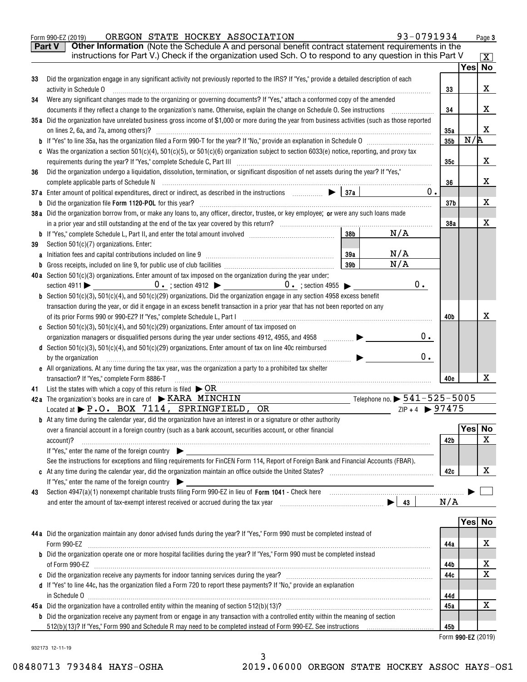|    | instructions for Part V.) Check if the organization used Sch. O to respond to any question in this Part V                                                                                                                                                                                                                                                                                 |                 |                                             |                 |        | $\overline{\mathtt{x}}$ ) |
|----|-------------------------------------------------------------------------------------------------------------------------------------------------------------------------------------------------------------------------------------------------------------------------------------------------------------------------------------------------------------------------------------------|-----------------|---------------------------------------------|-----------------|--------|---------------------------|
| 33 | Did the organization engage in any significant activity not previously reported to the IRS? If "Yes," provide a detailed description of each                                                                                                                                                                                                                                              |                 |                                             |                 | Yes    | <b>No</b>                 |
|    | activity in Schedule O                                                                                                                                                                                                                                                                                                                                                                    |                 |                                             | 33              |        | X                         |
| 34 | Were any significant changes made to the organizing or governing documents? If "Yes," attach a conformed copy of the amended                                                                                                                                                                                                                                                              |                 |                                             |                 |        |                           |
|    | documents if they reflect a change to the organization's name. Otherwise, explain the change on Schedule O. See instructions [[[[[[[[[[[[[[[[[[[[[[[[[]]]]]]]]]]                                                                                                                                                                                                                          |                 |                                             | 34              |        | x                         |
|    | 35a Did the organization have unrelated business gross income of \$1,000 or more during the year from business activities (such as those reported                                                                                                                                                                                                                                         |                 |                                             |                 |        |                           |
|    |                                                                                                                                                                                                                                                                                                                                                                                           |                 |                                             | 35a             |        | X                         |
|    |                                                                                                                                                                                                                                                                                                                                                                                           |                 |                                             | 35 <sub>b</sub> | N/R    |                           |
|    | c Was the organization a section 501(c)(4), 501(c)(5), or 501(c)(6) organization subject to section 6033(e) notice, reporting, and proxy tax                                                                                                                                                                                                                                              |                 |                                             |                 |        |                           |
|    | Did the organization undergo a liquidation, dissolution, termination, or significant disposition of net assets during the year? If "Yes,"                                                                                                                                                                                                                                                 |                 |                                             | 35c             |        | x                         |
| 36 | complete applicable parts of Schedule N                                                                                                                                                                                                                                                                                                                                                   |                 |                                             | 36              |        | X                         |
|    | 37a Enter amount of political expenditures, direct or indirect, as described in the instructions $\Box$                                                                                                                                                                                                                                                                                   |                 | 0.                                          |                 |        |                           |
|    |                                                                                                                                                                                                                                                                                                                                                                                           |                 |                                             | 37b             |        | х                         |
|    | 38a Did the organization borrow from, or make any loans to, any officer, director, trustee, or key employee; or were any such loans made                                                                                                                                                                                                                                                  |                 |                                             |                 |        |                           |
|    |                                                                                                                                                                                                                                                                                                                                                                                           |                 |                                             | 38a             |        | х                         |
|    |                                                                                                                                                                                                                                                                                                                                                                                           | 38 <sub>b</sub> | N/A                                         |                 |        |                           |
| 39 | Section 501(c)(7) organizations. Enter:                                                                                                                                                                                                                                                                                                                                                   |                 |                                             |                 |        |                           |
|    |                                                                                                                                                                                                                                                                                                                                                                                           |                 | N/A                                         |                 |        |                           |
|    |                                                                                                                                                                                                                                                                                                                                                                                           | 39 <sub>b</sub> | N/A                                         |                 |        |                           |
|    | 40a Section 501(c)(3) organizations. Enter amount of tax imposed on the organization during the year under:                                                                                                                                                                                                                                                                               |                 |                                             |                 |        |                           |
|    |                                                                                                                                                                                                                                                                                                                                                                                           |                 | $0 \cdot$                                   |                 |        |                           |
|    | <b>b</b> Section 501(c)(3), 501(c)(4), and 501(c)(29) organizations. Did the organization engage in any section 4958 excess benefit<br>transaction during the year, or did it engage in an excess benefit transaction in a prior year that has not been reported on any                                                                                                                   |                 |                                             |                 |        |                           |
|    |                                                                                                                                                                                                                                                                                                                                                                                           |                 |                                             | 40b             |        | x                         |
|    | c Section 501(c)(3), 501(c)(4), and 501(c)(29) organizations. Enter amount of tax imposed on                                                                                                                                                                                                                                                                                              |                 |                                             |                 |        |                           |
|    |                                                                                                                                                                                                                                                                                                                                                                                           |                 | 0.                                          |                 |        |                           |
|    | d Section 501(c)(3), 501(c)(4), and 501(c)(29) organizations. Enter amount of tax on line 40c reimbursed                                                                                                                                                                                                                                                                                  |                 |                                             |                 |        |                           |
|    | by the organization<br>$\begin{picture}(100,100)(0,-0.000,0.000) \put(0,0){\vector(1,0){100}} \put(1,0){\vector(1,0){100}} \put(1,0){\vector(1,0){100}} \put(1,0){\vector(1,0){100}} \put(1,0){\vector(1,0){100}} \put(1,0){\vector(1,0){100}} \put(1,0){\vector(1,0){100}} \put(1,0){\vector(1,0){100}} \put(1,0){\vector(1,0){100}} \put(1,0){\vector(1,0){100}} \put(1,0){\vector(1,0$ |                 | $0$ .                                       |                 |        |                           |
|    | e All organizations. At any time during the tax year, was the organization a party to a prohibited tax shelter                                                                                                                                                                                                                                                                            |                 |                                             |                 |        |                           |
|    | transaction? If "Yes," complete Form 8886-T                                                                                                                                                                                                                                                                                                                                               |                 |                                             | 40e             |        | x                         |
|    | 41 List the states with which a copy of this return is filed $\triangleright$ OR                                                                                                                                                                                                                                                                                                          |                 |                                             |                 |        |                           |
|    | 42a The organization's books are in care of $\triangleright$ KARA MINCHIN                                                                                                                                                                                                                                                                                                                 |                 | Telephone no. $\triangleright$ 541-525-5005 |                 |        |                           |
|    | Located at $\blacktriangleright$ P.O. BOX 7114, SPRINGFIELD, OR                                                                                                                                                                                                                                                                                                                           |                 | $ZIP + 4$ $\triangleright$ 97475            |                 |        |                           |
|    | <b>b</b> At any time during the calendar year, did the organization have an interest in or a signature or other authority<br>over a financial account in a foreign country (such as a bank account, securities account, or other financial                                                                                                                                                |                 |                                             |                 | Yes    |                           |
|    |                                                                                                                                                                                                                                                                                                                                                                                           |                 |                                             |                 |        |                           |
|    |                                                                                                                                                                                                                                                                                                                                                                                           |                 |                                             |                 |        |                           |
|    | account)?<br>If "Yes," enter the name of the foreign country $\blacktriangleright$                                                                                                                                                                                                                                                                                                        |                 |                                             | 42b             |        |                           |
|    | See the instructions for exceptions and filing requirements for FinCEN Form 114, Report of Foreign Bank and Financial Accounts (FBAR).                                                                                                                                                                                                                                                    |                 |                                             |                 |        |                           |
|    | c At any time during the calendar year, did the organization maintain an office outside the United States?                                                                                                                                                                                                                                                                                |                 |                                             | 42c             |        |                           |
|    | If "Yes," enter the name of the foreign country                                                                                                                                                                                                                                                                                                                                           |                 |                                             |                 |        |                           |
| 43 | Section 4947(a)(1) nonexempt charitable trusts filing Form 990-EZ in lieu of Form 1041 - Check here <i>manumerally</i>                                                                                                                                                                                                                                                                    |                 |                                             |                 |        | х                         |
|    |                                                                                                                                                                                                                                                                                                                                                                                           |                 |                                             | N/A             |        |                           |
|    |                                                                                                                                                                                                                                                                                                                                                                                           |                 |                                             |                 |        |                           |
|    |                                                                                                                                                                                                                                                                                                                                                                                           |                 |                                             |                 | Yes No |                           |
|    | 44a Did the organization maintain any donor advised funds during the year? If "Yes," Form 990 must be completed instead of                                                                                                                                                                                                                                                                |                 |                                             |                 |        |                           |
|    | Form 990-EZ                                                                                                                                                                                                                                                                                                                                                                               |                 |                                             | 44a             |        | х                         |
|    | <b>b</b> Did the organization operate one or more hospital facilities during the year? If "Yes," Form 990 must be completed instead                                                                                                                                                                                                                                                       |                 |                                             |                 |        |                           |
|    |                                                                                                                                                                                                                                                                                                                                                                                           |                 |                                             | 44b             |        | x                         |
|    |                                                                                                                                                                                                                                                                                                                                                                                           |                 |                                             | 44c             |        |                           |
|    | d If "Yes" to line 44c, has the organization filed a Form 720 to report these payments? If "No," provide an explanation                                                                                                                                                                                                                                                                   |                 |                                             | 44d             |        | х                         |
|    | in Schedule 0                                                                                                                                                                                                                                                                                                                                                                             |                 |                                             | 45a             |        | x                         |
|    | b Did the organization receive any payment from or engage in any transaction with a controlled entity within the meaning of section                                                                                                                                                                                                                                                       |                 |                                             |                 |        | No<br>X                   |

 $_{\rm Form}$  990-EZ (2019) OREGON STATE HOCKEY ASSOCIATION 93-0791934 Page

932173 12-11-19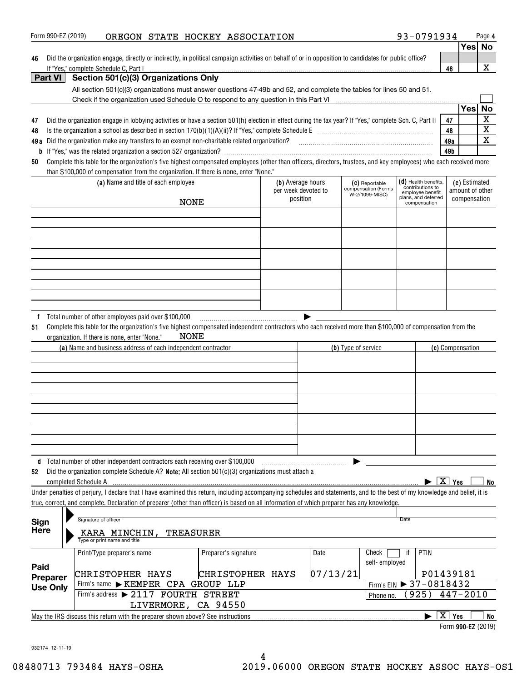|                     |                                                                                                                                                                                                                                                                                                                          |                      |                     |          |                                       |                                      |                                              | Yes             | No          |
|---------------------|--------------------------------------------------------------------------------------------------------------------------------------------------------------------------------------------------------------------------------------------------------------------------------------------------------------------------|----------------------|---------------------|----------|---------------------------------------|--------------------------------------|----------------------------------------------|-----------------|-------------|
| 46                  | Did the organization engage, directly or indirectly, in political campaign activities on behalf of or in opposition to candidates for public office?                                                                                                                                                                     |                      |                     |          |                                       |                                      |                                              |                 |             |
| Part VI             | If "Yes." complete Schedule C. Part I<br>Section 501(c)(3) Organizations Only                                                                                                                                                                                                                                            |                      |                     |          |                                       |                                      | 46                                           |                 | х           |
|                     | All section 501(c)(3) organizations must answer questions 47-49b and 52, and complete the tables for lines 50 and 51.                                                                                                                                                                                                    |                      |                     |          |                                       |                                      |                                              |                 |             |
|                     |                                                                                                                                                                                                                                                                                                                          |                      |                     |          |                                       |                                      |                                              |                 |             |
|                     |                                                                                                                                                                                                                                                                                                                          |                      |                     |          |                                       |                                      |                                              | Yes             | No          |
| 47                  | Did the organization engage in lobbying activities or have a section 501(h) election in effect during the tax year? If "Yes," complete Sch. C, Part II                                                                                                                                                                   |                      |                     |          |                                       |                                      | 47                                           |                 | $\mathbf X$ |
| 48                  |                                                                                                                                                                                                                                                                                                                          |                      |                     |          |                                       |                                      | 48                                           |                 | $\mathbf X$ |
| 49 a                | Did the organization make any transfers to an exempt non-charitable related organization?<br>University or nuniversity contains the content content content content content and the content of the content<br>                                                                                                           |                      |                     |          |                                       |                                      | 49a                                          |                 | X           |
|                     |                                                                                                                                                                                                                                                                                                                          |                      |                     |          |                                       |                                      | 49b                                          |                 |             |
| 50                  | Complete this table for the organization's five highest compensated employees (other than officers, directors, trustees, and key employees) who each received more<br>than \$100,000 of compensation from the organization. If there is none, enter "None."                                                              |                      |                     |          |                                       |                                      |                                              |                 |             |
|                     | (a) Name and title of each employee                                                                                                                                                                                                                                                                                      |                      | (b) Average hours   |          | (C) Reportable                        | $(d)$ Health benefits,               |                                              | (e) Estimated   |             |
|                     |                                                                                                                                                                                                                                                                                                                          |                      | per week devoted to |          | compensation (Forms<br>W-2/1099-MISC) | contributions to<br>employee benefit |                                              | amount of other |             |
|                     |                                                                                                                                                                                                                                                                                                                          | <b>NONE</b>          | position            |          |                                       | plans, and deferred<br>compensation  |                                              | compensation    |             |
|                     |                                                                                                                                                                                                                                                                                                                          |                      |                     |          |                                       |                                      |                                              |                 |             |
|                     |                                                                                                                                                                                                                                                                                                                          |                      |                     |          |                                       |                                      |                                              |                 |             |
|                     |                                                                                                                                                                                                                                                                                                                          |                      |                     |          |                                       |                                      |                                              |                 |             |
|                     |                                                                                                                                                                                                                                                                                                                          |                      |                     |          |                                       |                                      |                                              |                 |             |
|                     |                                                                                                                                                                                                                                                                                                                          |                      |                     |          |                                       |                                      |                                              |                 |             |
|                     |                                                                                                                                                                                                                                                                                                                          |                      |                     |          |                                       |                                      |                                              |                 |             |
|                     |                                                                                                                                                                                                                                                                                                                          |                      |                     |          |                                       |                                      |                                              |                 |             |
|                     |                                                                                                                                                                                                                                                                                                                          |                      |                     |          |                                       |                                      |                                              |                 |             |
|                     |                                                                                                                                                                                                                                                                                                                          |                      |                     |          |                                       |                                      |                                              |                 |             |
|                     | (a) Name and business address of each independent contractor                                                                                                                                                                                                                                                             |                      |                     |          | (b) Type of service                   |                                      | (c) Compensation                             |                 |             |
|                     |                                                                                                                                                                                                                                                                                                                          |                      |                     |          |                                       |                                      |                                              |                 |             |
|                     |                                                                                                                                                                                                                                                                                                                          |                      |                     |          |                                       |                                      |                                              |                 |             |
|                     |                                                                                                                                                                                                                                                                                                                          |                      |                     |          |                                       |                                      |                                              |                 |             |
|                     | Total number of other independent contractors each receiving over \$100,000                                                                                                                                                                                                                                              |                      |                     |          |                                       |                                      |                                              |                 |             |
| 52                  | Did the organization complete Schedule A? Note: All section 501(c)(3) organizations must attach a<br>completed Schedule A                                                                                                                                                                                                |                      |                     |          |                                       |                                      | $\blacktriangleright$ $\boxed{\text{X}}$ Yes |                 | No          |
|                     | Under penalties of perjury, I declare that I have examined this return, including accompanying schedules and statements, and to the best of my knowledge and belief, it is<br>true, correct, and complete. Declaration of preparer (other than officer) is based on all information of which preparer has any knowledge. |                      |                     |          |                                       |                                      |                                              |                 |             |
|                     | Signature of officer                                                                                                                                                                                                                                                                                                     |                      |                     |          |                                       | Date                                 |                                              |                 |             |
| Sign<br><b>Here</b> | KARA MINCHIN,<br>Type or print name and title                                                                                                                                                                                                                                                                            | <b>TREASURER</b>     |                     |          |                                       |                                      |                                              |                 |             |
|                     | Print/Type preparer's name                                                                                                                                                                                                                                                                                               | Preparer's signature |                     | Date     | Check                                 | PTIN<br>if                           |                                              |                 |             |
| Paid                |                                                                                                                                                                                                                                                                                                                          |                      |                     |          | self-employed                         |                                      |                                              |                 |             |
| Preparer            | CHRISTOPHER HAYS                                                                                                                                                                                                                                                                                                         | CHRISTOPHER HAYS     |                     | 07/13/21 |                                       |                                      | P01439181                                    |                 |             |
| <b>Use Only</b>     | Firm's name > KEMPER CPA GROUP LLP                                                                                                                                                                                                                                                                                       |                      |                     |          |                                       | Firm's EIN > 37-0818432              |                                              |                 |             |
|                     | Firm's address > 2117 FOURTH STREET                                                                                                                                                                                                                                                                                      |                      |                     |          | Phone no.                             | 925)                                 | $447 - 2010$                                 |                 |             |
|                     | LIVERMORE, CA 94550                                                                                                                                                                                                                                                                                                      |                      |                     |          |                                       |                                      |                                              |                 |             |
|                     | May the IRS discuss this return with the preparer shown above? See instructions                                                                                                                                                                                                                                          |                      |                     |          |                                       |                                      | $\overline{X}$ Yes                           |                 | No          |
|                     |                                                                                                                                                                                                                                                                                                                          |                      |                     |          |                                       |                                      | Form 990-EZ (2019)                           |                 |             |

Form 990-EZ (2019) **OREGON STATE HOCKEY ASSOCIATION 93-0791934** Page

932174 12-11-19

**4**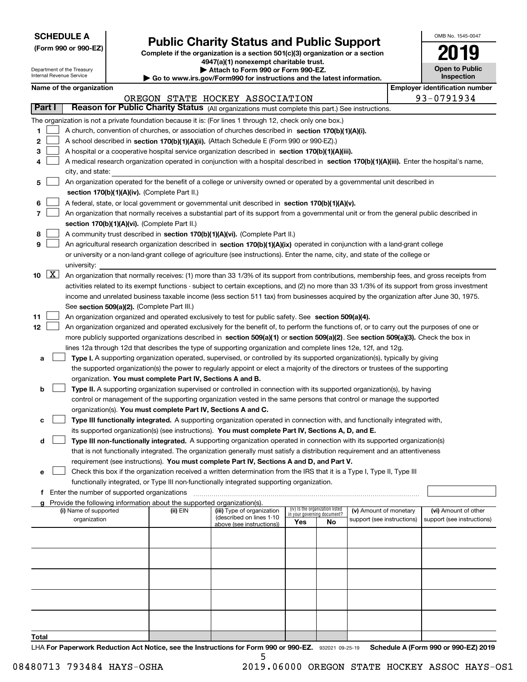| <b>SCHEDULE A</b> |
|-------------------|
|-------------------|

**(Form 990 or 990-EZ)**

## **Public Charity Status and Public Support**

**Complete if the organization is a section 501(c)(3) organization or a section 4947(a)(1) nonexempt charitable trust. | Attach to Form 990 or Form 990-EZ.** 

| OMB No. 1545-0047                   |
|-------------------------------------|
| 2019                                |
| <b>Open to Public</b><br>Inspection |

| Department of the Treasury<br>Internal Revenue Service |                     |                                             |  |                                                                                    | Attach to Form 990 or Form 990-EZ.<br>Go to www.irs.gov/Form990 for instructions and the latest information.                                  |     |                                 |                            | <b>Open to Public</b><br>Inspection   |
|--------------------------------------------------------|---------------------|---------------------------------------------|--|------------------------------------------------------------------------------------|-----------------------------------------------------------------------------------------------------------------------------------------------|-----|---------------------------------|----------------------------|---------------------------------------|
|                                                        |                     | Name of the organization                    |  |                                                                                    |                                                                                                                                               |     |                                 |                            | <b>Employer identification number</b> |
|                                                        |                     |                                             |  |                                                                                    | OREGON STATE HOCKEY ASSOCIATION                                                                                                               |     |                                 |                            | 93-0791934                            |
|                                                        | Part I              |                                             |  |                                                                                    | Reason for Public Charity Status (All organizations must complete this part.) See instructions.                                               |     |                                 |                            |                                       |
|                                                        |                     |                                             |  |                                                                                    | The organization is not a private foundation because it is: (For lines 1 through 12, check only one box.)                                     |     |                                 |                            |                                       |
| 1.                                                     |                     |                                             |  |                                                                                    | A church, convention of churches, or association of churches described in section 170(b)(1)(A)(i).                                            |     |                                 |                            |                                       |
| 2                                                      |                     |                                             |  |                                                                                    | A school described in section 170(b)(1)(A)(ii). (Attach Schedule E (Form 990 or 990-EZ).)                                                     |     |                                 |                            |                                       |
| 3                                                      |                     |                                             |  |                                                                                    | A hospital or a cooperative hospital service organization described in section 170(b)(1)(A)(iii).                                             |     |                                 |                            |                                       |
|                                                        |                     |                                             |  |                                                                                    | A medical research organization operated in conjunction with a hospital described in section 170(b)(1)(A)(iii). Enter the hospital's name,    |     |                                 |                            |                                       |
| 4                                                      |                     | city, and state:                            |  |                                                                                    |                                                                                                                                               |     |                                 |                            |                                       |
|                                                        |                     |                                             |  |                                                                                    |                                                                                                                                               |     |                                 |                            |                                       |
| 5                                                      |                     |                                             |  | section 170(b)(1)(A)(iv). (Complete Part II.)                                      | An organization operated for the benefit of a college or university owned or operated by a governmental unit described in                     |     |                                 |                            |                                       |
|                                                        |                     |                                             |  |                                                                                    |                                                                                                                                               |     |                                 |                            |                                       |
| 6                                                      |                     |                                             |  |                                                                                    | A federal, state, or local government or governmental unit described in section 170(b)(1)(A)(v).                                              |     |                                 |                            |                                       |
| 7                                                      |                     |                                             |  |                                                                                    | An organization that normally receives a substantial part of its support from a governmental unit or from the general public described in     |     |                                 |                            |                                       |
|                                                        |                     |                                             |  | section 170(b)(1)(A)(vi). (Complete Part II.)                                      |                                                                                                                                               |     |                                 |                            |                                       |
| 8                                                      |                     |                                             |  |                                                                                    | A community trust described in section 170(b)(1)(A)(vi). (Complete Part II.)                                                                  |     |                                 |                            |                                       |
| 9                                                      |                     |                                             |  |                                                                                    | An agricultural research organization described in section 170(b)(1)(A)(ix) operated in conjunction with a land-grant college                 |     |                                 |                            |                                       |
|                                                        |                     |                                             |  |                                                                                    | or university or a non-land-grant college of agriculture (see instructions). Enter the name, city, and state of the college or                |     |                                 |                            |                                       |
|                                                        |                     | university:                                 |  |                                                                                    |                                                                                                                                               |     |                                 |                            |                                       |
| 10                                                     | $\lfloor x \rfloor$ |                                             |  |                                                                                    | An organization that normally receives: (1) more than 33 1/3% of its support from contributions, membership fees, and gross receipts from     |     |                                 |                            |                                       |
|                                                        |                     |                                             |  |                                                                                    | activities related to its exempt functions - subject to certain exceptions, and (2) no more than 33 1/3% of its support from gross investment |     |                                 |                            |                                       |
|                                                        |                     |                                             |  |                                                                                    | income and unrelated business taxable income (less section 511 tax) from businesses acquired by the organization after June 30, 1975.         |     |                                 |                            |                                       |
|                                                        |                     |                                             |  | See section 509(a)(2). (Complete Part III.)                                        |                                                                                                                                               |     |                                 |                            |                                       |
| 11                                                     |                     |                                             |  |                                                                                    | An organization organized and operated exclusively to test for public safety. See section 509(a)(4).                                          |     |                                 |                            |                                       |
| 12                                                     |                     |                                             |  |                                                                                    | An organization organized and operated exclusively for the benefit of, to perform the functions of, or to carry out the purposes of one or    |     |                                 |                            |                                       |
|                                                        |                     |                                             |  |                                                                                    | more publicly supported organizations described in section 509(a)(1) or section 509(a)(2). See section 509(a)(3). Check the box in            |     |                                 |                            |                                       |
|                                                        |                     |                                             |  |                                                                                    | lines 12a through 12d that describes the type of supporting organization and complete lines 12e, 12f, and 12g.                                |     |                                 |                            |                                       |
| а                                                      |                     |                                             |  |                                                                                    | Type I. A supporting organization operated, supervised, or controlled by its supported organization(s), typically by giving                   |     |                                 |                            |                                       |
|                                                        |                     |                                             |  |                                                                                    | the supported organization(s) the power to regularly appoint or elect a majority of the directors or trustees of the supporting               |     |                                 |                            |                                       |
|                                                        |                     |                                             |  | organization. You must complete Part IV, Sections A and B.                         |                                                                                                                                               |     |                                 |                            |                                       |
| b                                                      |                     |                                             |  |                                                                                    | Type II. A supporting organization supervised or controlled in connection with its supported organization(s), by having                       |     |                                 |                            |                                       |
|                                                        |                     |                                             |  |                                                                                    | control or management of the supporting organization vested in the same persons that control or manage the supported                          |     |                                 |                            |                                       |
|                                                        |                     |                                             |  | organization(s). You must complete Part IV, Sections A and C.                      |                                                                                                                                               |     |                                 |                            |                                       |
| с                                                      |                     |                                             |  |                                                                                    | Type III functionally integrated. A supporting organization operated in connection with, and functionally integrated with,                    |     |                                 |                            |                                       |
|                                                        |                     |                                             |  |                                                                                    | its supported organization(s) (see instructions). You must complete Part IV, Sections A, D, and E.                                            |     |                                 |                            |                                       |
| d                                                      |                     |                                             |  |                                                                                    | Type III non-functionally integrated. A supporting organization operated in connection with its supported organization(s)                     |     |                                 |                            |                                       |
|                                                        |                     |                                             |  |                                                                                    | that is not functionally integrated. The organization generally must satisfy a distribution requirement and an attentiveness                  |     |                                 |                            |                                       |
|                                                        |                     |                                             |  |                                                                                    | requirement (see instructions). You must complete Part IV, Sections A and D, and Part V.                                                      |     |                                 |                            |                                       |
| е                                                      |                     |                                             |  |                                                                                    | Check this box if the organization received a written determination from the IRS that it is a Type I, Type II, Type III                       |     |                                 |                            |                                       |
|                                                        |                     |                                             |  |                                                                                    | functionally integrated, or Type III non-functionally integrated supporting organization.                                                     |     |                                 |                            |                                       |
| f.                                                     |                     | Enter the number of supported organizations |  |                                                                                    |                                                                                                                                               |     |                                 |                            |                                       |
| a                                                      |                     | (i) Name of supported                       |  | Provide the following information about the supported organization(s).<br>(ii) EIN | (iii) Type of organization                                                                                                                    |     | (iv) Is the organization listed | (v) Amount of monetary     | (vi) Amount of other                  |
|                                                        |                     | organization                                |  |                                                                                    | (described on lines 1-10                                                                                                                      |     | in your governing document?     | support (see instructions) | support (see instructions)            |
|                                                        |                     |                                             |  |                                                                                    | above (see instructions))                                                                                                                     | Yes | No                              |                            |                                       |
|                                                        |                     |                                             |  |                                                                                    |                                                                                                                                               |     |                                 |                            |                                       |
|                                                        |                     |                                             |  |                                                                                    |                                                                                                                                               |     |                                 |                            |                                       |
|                                                        |                     |                                             |  |                                                                                    |                                                                                                                                               |     |                                 |                            |                                       |
|                                                        |                     |                                             |  |                                                                                    |                                                                                                                                               |     |                                 |                            |                                       |
|                                                        |                     |                                             |  |                                                                                    |                                                                                                                                               |     |                                 |                            |                                       |
|                                                        |                     |                                             |  |                                                                                    |                                                                                                                                               |     |                                 |                            |                                       |
|                                                        |                     |                                             |  |                                                                                    |                                                                                                                                               |     |                                 |                            |                                       |
|                                                        |                     |                                             |  |                                                                                    |                                                                                                                                               |     |                                 |                            |                                       |
|                                                        |                     |                                             |  |                                                                                    |                                                                                                                                               |     |                                 |                            |                                       |
|                                                        |                     |                                             |  |                                                                                    |                                                                                                                                               |     |                                 |                            |                                       |

**Total**

LHA For Paperwork Reduction Act Notice, see the Instructions for Form 990 or 990-EZ. 932021 09-25-19 Schedule A (Form 990 or 990-EZ) 2019 5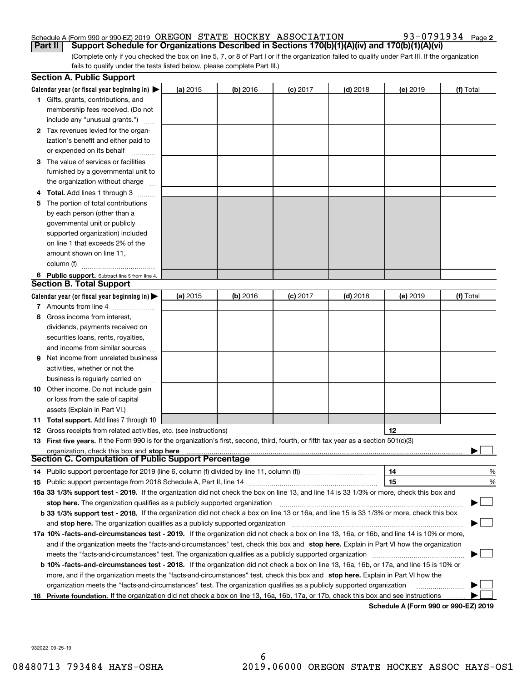93-0791934 Page 2

(Complete only if you checked the box on line 5, 7, or 8 of Part I or if the organization failed to qualify under Part III. If the organization fails to qualify under the tests listed below, please complete Part III.) **Part II Support Schedule for Organizations Described in Sections 170(b)(1)(A)(iv) and 170(b)(1)(A)(vi)**

|    | <b>Section A. Public Support</b>                                                                                                               |            |            |            |            |                                      |           |
|----|------------------------------------------------------------------------------------------------------------------------------------------------|------------|------------|------------|------------|--------------------------------------|-----------|
|    | Calendar year (or fiscal year beginning in) $\blacktriangleright$                                                                              | (a) 2015   | $(b)$ 2016 | $(c)$ 2017 | $(d)$ 2018 | (e) 2019                             | (f) Total |
|    | <b>1</b> Gifts, grants, contributions, and                                                                                                     |            |            |            |            |                                      |           |
|    | membership fees received. (Do not                                                                                                              |            |            |            |            |                                      |           |
|    | include any "unusual grants.")                                                                                                                 |            |            |            |            |                                      |           |
|    | 2 Tax revenues levied for the organ-                                                                                                           |            |            |            |            |                                      |           |
|    | ization's benefit and either paid to                                                                                                           |            |            |            |            |                                      |           |
|    | or expended on its behalf                                                                                                                      |            |            |            |            |                                      |           |
|    | 3 The value of services or facilities                                                                                                          |            |            |            |            |                                      |           |
|    | furnished by a governmental unit to                                                                                                            |            |            |            |            |                                      |           |
|    | the organization without charge                                                                                                                |            |            |            |            |                                      |           |
|    | <b>4 Total.</b> Add lines 1 through 3                                                                                                          |            |            |            |            |                                      |           |
| 5. | The portion of total contributions                                                                                                             |            |            |            |            |                                      |           |
|    | by each person (other than a                                                                                                                   |            |            |            |            |                                      |           |
|    | governmental unit or publicly                                                                                                                  |            |            |            |            |                                      |           |
|    | supported organization) included                                                                                                               |            |            |            |            |                                      |           |
|    | on line 1 that exceeds 2% of the                                                                                                               |            |            |            |            |                                      |           |
|    | amount shown on line 11,                                                                                                                       |            |            |            |            |                                      |           |
|    | column (f)                                                                                                                                     |            |            |            |            |                                      |           |
|    | 6 Public support. Subtract line 5 from line 4.                                                                                                 |            |            |            |            |                                      |           |
|    | <b>Section B. Total Support</b>                                                                                                                |            |            |            |            |                                      |           |
|    | Calendar year (or fiscal year beginning in) $\blacktriangleright$                                                                              | (a) $2015$ | $(b)$ 2016 | $(c)$ 2017 | $(d)$ 2018 | (e) 2019                             | (f) Total |
|    | 7 Amounts from line 4                                                                                                                          |            |            |            |            |                                      |           |
| 8  | Gross income from interest,                                                                                                                    |            |            |            |            |                                      |           |
|    | dividends, payments received on                                                                                                                |            |            |            |            |                                      |           |
|    | securities loans, rents, royalties,                                                                                                            |            |            |            |            |                                      |           |
|    | and income from similar sources                                                                                                                |            |            |            |            |                                      |           |
| 9  | Net income from unrelated business                                                                                                             |            |            |            |            |                                      |           |
|    | activities, whether or not the                                                                                                                 |            |            |            |            |                                      |           |
|    | business is regularly carried on                                                                                                               |            |            |            |            |                                      |           |
|    | <b>10</b> Other income. Do not include gain                                                                                                    |            |            |            |            |                                      |           |
|    | or loss from the sale of capital                                                                                                               |            |            |            |            |                                      |           |
|    | assets (Explain in Part VI.)                                                                                                                   |            |            |            |            |                                      |           |
|    | <b>11 Total support.</b> Add lines 7 through 10                                                                                                |            |            |            |            |                                      |           |
|    | <b>12</b> Gross receipts from related activities, etc. (see instructions)                                                                      |            |            |            |            | 12                                   |           |
|    | 13 First five years. If the Form 990 is for the organization's first, second, third, fourth, or fifth tax year as a section 501(c)(3)          |            |            |            |            |                                      |           |
|    | organization, check this box and stop here                                                                                                     |            |            |            |            |                                      |           |
|    | Section C. Computation of Public Support Percentage                                                                                            |            |            |            |            |                                      |           |
|    | 14 Public support percentage for 2019 (line 6, column (f) divided by line 11, column (f)                                                       |            |            |            |            | 14                                   | %         |
|    |                                                                                                                                                |            |            |            |            | 15                                   | %         |
|    | 16a 33 1/3% support test - 2019. If the organization did not check the box on line 13, and line 14 is 33 1/3% or more, check this box and      |            |            |            |            |                                      |           |
|    | stop here. The organization qualifies as a publicly supported organization                                                                     |            |            |            |            |                                      |           |
|    | b 33 1/3% support test - 2018. If the organization did not check a box on line 13 or 16a, and line 15 is 33 1/3% or more, check this box       |            |            |            |            |                                      |           |
|    | and stop here. The organization qualifies as a publicly supported organization                                                                 |            |            |            |            |                                      |           |
|    | 17a 10% -facts-and-circumstances test - 2019. If the organization did not check a box on line 13, 16a, or 16b, and line 14 is 10% or more,     |            |            |            |            |                                      |           |
|    | and if the organization meets the "facts-and-circumstances" test, check this box and stop here. Explain in Part VI how the organization        |            |            |            |            |                                      |           |
|    | meets the "facts-and-circumstances" test. The organization qualifies as a publicly supported organization                                      |            |            |            |            |                                      |           |
|    | <b>b 10% -facts-and-circumstances test - 2018.</b> If the organization did not check a box on line 13, 16a, 16b, or 17a, and line 15 is 10% or |            |            |            |            |                                      |           |
|    | more, and if the organization meets the "facts-and-circumstances" test, check this box and stop here. Explain in Part VI how the               |            |            |            |            |                                      |           |
|    | organization meets the "facts-and-circumstances" test. The organization qualifies as a publicly supported organization                         |            |            |            |            |                                      |           |
|    | 18 Private foundation. If the organization did not check a box on line 13, 16a, 16b, 17a, or 17b, check this box and see instructions          |            |            |            |            | Schodule A (Form 000 or 000 EZ) 2010 |           |

**Schedule A (Form 990 or 990-EZ) 2019**

932022 09-25-19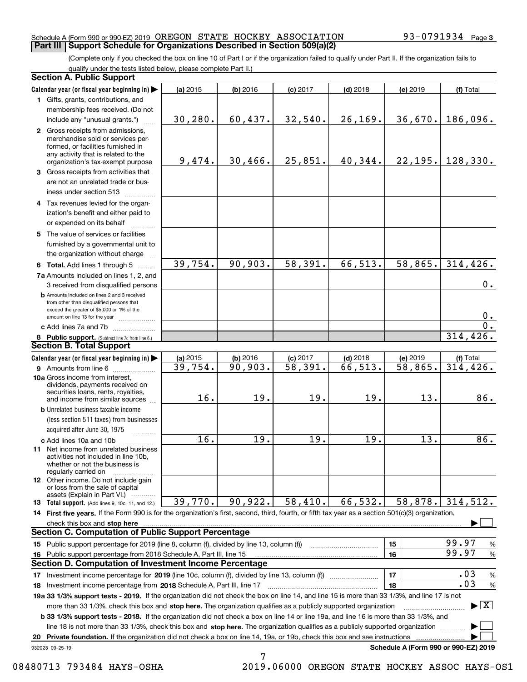#### Schedule A (Form 990 or 990-EZ) 2019 OREGON STATE HOCKEY ASSOCIATION 93-0791934 Page **Part III Support Schedule for Organizations Described in Section 509(a)(2)**

(Complete only if you checked the box on line 10 of Part I or if the organization failed to qualify under Part II. If the organization fails to qualify under the tests listed below, please complete Part II.)

|    | <b>Section A. Public Support</b>                                                                                                                                                                                                                                                |          |            |                       |            |                                      |                                          |
|----|---------------------------------------------------------------------------------------------------------------------------------------------------------------------------------------------------------------------------------------------------------------------------------|----------|------------|-----------------------|------------|--------------------------------------|------------------------------------------|
|    | Calendar year (or fiscal year beginning in)                                                                                                                                                                                                                                     | (a) 2015 | $(b)$ 2016 | $(c)$ 2017            | $(d)$ 2018 | (e) 2019                             | (f) Total                                |
|    | 1 Gifts, grants, contributions, and                                                                                                                                                                                                                                             |          |            |                       |            |                                      |                                          |
|    | membership fees received. (Do not                                                                                                                                                                                                                                               |          |            |                       |            |                                      |                                          |
|    | include any "unusual grants.")                                                                                                                                                                                                                                                  | 30, 280. | 60, 437.   | 32,540.               | 26, 169.   | 36,670.                              | 186,096.                                 |
|    | 2 Gross receipts from admissions,<br>merchandise sold or services per-<br>formed, or facilities furnished in<br>any activity that is related to the<br>organization's tax-exempt purpose                                                                                        | 9,474.   | 30,466.    | 25,851.               | 40,344.    | 22,195.                              | 128,330.                                 |
|    | 3 Gross receipts from activities that<br>are not an unrelated trade or bus-<br>iness under section 513                                                                                                                                                                          |          |            |                       |            |                                      |                                          |
|    | 4 Tax revenues levied for the organ-<br>ization's benefit and either paid to<br>or expended on its behalf                                                                                                                                                                       |          |            |                       |            |                                      |                                          |
|    | 5 The value of services or facilities<br>furnished by a governmental unit to<br>the organization without charge                                                                                                                                                                 |          |            |                       |            |                                      |                                          |
|    | 6 Total. Add lines 1 through 5                                                                                                                                                                                                                                                  | 39,754.  | 90,903.    | 58,391.               | 66, 513.   | 58,865.                              | 314, 426.                                |
|    | 7a Amounts included on lines 1, 2, and<br>3 received from disqualified persons                                                                                                                                                                                                  |          |            |                       |            |                                      | 0.                                       |
|    | <b>b</b> Amounts included on lines 2 and 3 received<br>from other than disqualified persons that<br>exceed the greater of \$5,000 or 1% of the<br>amount on line 13 for the year                                                                                                |          |            |                       |            |                                      | 0.                                       |
|    | c Add lines 7a and 7b                                                                                                                                                                                                                                                           |          |            |                       |            |                                      | $\overline{0}$ .                         |
|    | 8 Public support. (Subtract line 7c from line 6.)                                                                                                                                                                                                                               |          |            |                       |            |                                      | 314, 426.                                |
|    | <b>Section B. Total Support</b>                                                                                                                                                                                                                                                 |          |            |                       |            |                                      |                                          |
|    | Calendar year (or fiscal year beginning in)                                                                                                                                                                                                                                     | (a) 2015 | $(b)$ 2016 | $(c)$ 2017            | $(d)$ 2018 | (e) 2019                             | (f) Total                                |
|    | 9 Amounts from line 6                                                                                                                                                                                                                                                           | 39,754.  | 90,903.    | $\overline{58,391}$ . | 66,513.    | 58,865.                              | 314, 426.                                |
|    | 10a Gross income from interest,<br>dividends, payments received on<br>securities loans, rents, royalties,<br>and income from similar sources                                                                                                                                    | 16.      | 19.        | 19.                   | 19.        | 13.                                  | 86.                                      |
|    | <b>b</b> Unrelated business taxable income<br>(less section 511 taxes) from businesses<br>acquired after June 30, 1975                                                                                                                                                          |          |            |                       |            |                                      |                                          |
|    | c Add lines 10a and 10b<br>11 Net income from unrelated business<br>activities not included in line 10b,<br>whether or not the business is<br>regularly carried on                                                                                                              | 16.      | 19.        | 19.                   | 19.        | 13.                                  | 86.                                      |
|    | <b>12</b> Other income. Do not include gain<br>or loss from the sale of capital<br>assets (Explain in Part VI.)                                                                                                                                                                 |          |            |                       |            |                                      |                                          |
|    | 13 Total support. (Add lines 9, 10c, 11, and 12.)                                                                                                                                                                                                                               | 39,770.  | 90,922.    | 58,410.               | 66,532.    | 58,878.                              | 314,512.                                 |
|    | 14 First five years. If the Form 990 is for the organization's first, second, third, fourth, or fifth tax year as a section 501(c)(3) organization,                                                                                                                             |          |            |                       |            |                                      |                                          |
|    | check this box and stop here www.array.com/www.array.com/www.array.com/www.array.com/www.array.com/www.array.c                                                                                                                                                                  |          |            |                       |            |                                      |                                          |
|    | <b>Section C. Computation of Public Support Percentage</b>                                                                                                                                                                                                                      |          |            |                       |            |                                      |                                          |
|    | 15 Public support percentage for 2019 (line 8, column (f), divided by line 13, column (f))                                                                                                                                                                                      |          |            |                       |            | 15                                   | 99.97<br>%                               |
|    | 16 Public support percentage from 2018 Schedule A, Part III, line 15                                                                                                                                                                                                            |          |            |                       |            | 16                                   | 99.97<br>%                               |
|    | <b>Section D. Computation of Investment Income Percentage</b>                                                                                                                                                                                                                   |          |            |                       |            |                                      |                                          |
|    | 17 Investment income percentage for 2019 (line 10c, column (f), divided by line 13, column (f))                                                                                                                                                                                 |          |            |                       |            | 17                                   | .03<br>%<br>.03                          |
|    | <b>18</b> Investment income percentage from <b>2018</b> Schedule A, Part III, line 17                                                                                                                                                                                           |          |            |                       |            | 18                                   | $\%$                                     |
|    | 19a 33 1/3% support tests - 2019. If the organization did not check the box on line 14, and line 15 is more than 33 1/3%, and line 17 is not<br>more than 33 1/3%, check this box and stop here. The organization qualifies as a publicly supported organization                |          |            |                       |            |                                      | $\blacktriangleright$ $\boxed{\text{X}}$ |
|    | <b>b 33 1/3% support tests - 2018.</b> If the organization did not check a box on line 14 or line 19a, and line 16 is more than 33 1/3%, and<br>line 18 is not more than 33 1/3%, check this box and stop here. The organization qualifies as a publicly supported organization |          |            |                       |            |                                      |                                          |
| 20 | Private foundation. If the organization did not check a box on line 14, 19a, or 19b, check this box and see instructions                                                                                                                                                        |          |            |                       |            |                                      |                                          |
|    | 932023 09-25-19                                                                                                                                                                                                                                                                 |          |            |                       |            | Schedule A (Form 990 or 990-EZ) 2019 |                                          |

7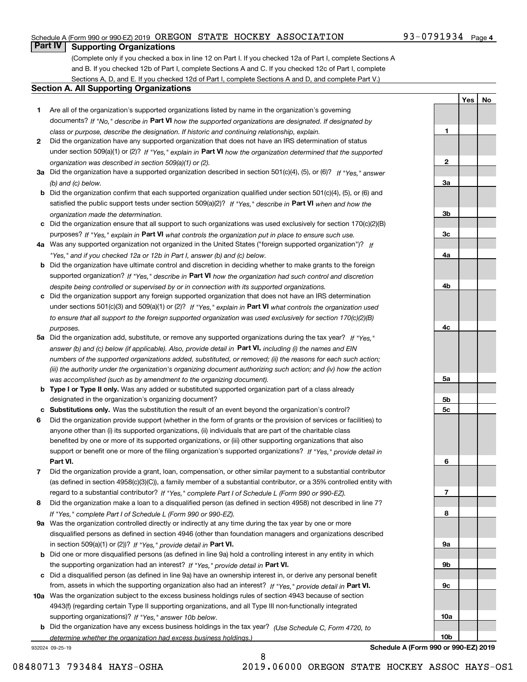### **Part IV Supporting Organizations**

(Complete only if you checked a box in line 12 on Part I. If you checked 12a of Part I, complete Sections A and B. If you checked 12b of Part I, complete Sections A and C. If you checked 12c of Part I, complete Sections A, D, and E. If you checked 12d of Part I, complete Sections A and D, and complete Part V.)

#### **Section A. All Supporting Organizations**

- **1** Are all of the organization's supported organizations listed by name in the organization's governing documents? If "No," describe in **Part VI** how the supported organizations are designated. If designated by *class or purpose, describe the designation. If historic and continuing relationship, explain.*
- **2** Did the organization have any supported organization that does not have an IRS determination of status under section 509(a)(1) or (2)? If "Yes," explain in Part VI how the organization determined that the supported *organization was described in section 509(a)(1) or (2).*
- **3a** Did the organization have a supported organization described in section 501(c)(4), (5), or (6)? If "Yes," answer *(b) and (c) below.*
- **b** Did the organization confirm that each supported organization qualified under section 501(c)(4), (5), or (6) and satisfied the public support tests under section 509(a)(2)? If "Yes," describe in **Part VI** when and how the *organization made the determination.*
- **c**Did the organization ensure that all support to such organizations was used exclusively for section 170(c)(2)(B) purposes? If "Yes," explain in **Part VI** what controls the organization put in place to ensure such use.
- **4a***If* Was any supported organization not organized in the United States ("foreign supported organization")? *"Yes," and if you checked 12a or 12b in Part I, answer (b) and (c) below.*
- **b** Did the organization have ultimate control and discretion in deciding whether to make grants to the foreign supported organization? If "Yes," describe in **Part VI** how the organization had such control and discretion *despite being controlled or supervised by or in connection with its supported organizations.*
- **c** Did the organization support any foreign supported organization that does not have an IRS determination under sections 501(c)(3) and 509(a)(1) or (2)? If "Yes," explain in **Part VI** what controls the organization used *to ensure that all support to the foreign supported organization was used exclusively for section 170(c)(2)(B) purposes.*
- **5a** Did the organization add, substitute, or remove any supported organizations during the tax year? If "Yes," answer (b) and (c) below (if applicable). Also, provide detail in **Part VI,** including (i) the names and EIN *numbers of the supported organizations added, substituted, or removed; (ii) the reasons for each such action; (iii) the authority under the organization's organizing document authorizing such action; and (iv) how the action was accomplished (such as by amendment to the organizing document).*
- **b** Type I or Type II only. Was any added or substituted supported organization part of a class already designated in the organization's organizing document?
- **cSubstitutions only.**  Was the substitution the result of an event beyond the organization's control?
- **6** Did the organization provide support (whether in the form of grants or the provision of services or facilities) to **Part VI.** *If "Yes," provide detail in* support or benefit one or more of the filing organization's supported organizations? anyone other than (i) its supported organizations, (ii) individuals that are part of the charitable class benefited by one or more of its supported organizations, or (iii) other supporting organizations that also
- **7**Did the organization provide a grant, loan, compensation, or other similar payment to a substantial contributor *If "Yes," complete Part I of Schedule L (Form 990 or 990-EZ).* regard to a substantial contributor? (as defined in section 4958(c)(3)(C)), a family member of a substantial contributor, or a 35% controlled entity with
- **8** Did the organization make a loan to a disqualified person (as defined in section 4958) not described in line 7? *If "Yes," complete Part I of Schedule L (Form 990 or 990-EZ).*
- **9a** Was the organization controlled directly or indirectly at any time during the tax year by one or more in section 509(a)(1) or (2))? If "Yes," *provide detail in* <code>Part VI.</code> disqualified persons as defined in section 4946 (other than foundation managers and organizations described
- **b** Did one or more disqualified persons (as defined in line 9a) hold a controlling interest in any entity in which the supporting organization had an interest? If "Yes," provide detail in P**art VI**.
- **c**Did a disqualified person (as defined in line 9a) have an ownership interest in, or derive any personal benefit from, assets in which the supporting organization also had an interest? If "Yes," provide detail in P**art VI.**
- **10a** Was the organization subject to the excess business holdings rules of section 4943 because of section supporting organizations)? If "Yes," answer 10b below. 4943(f) (regarding certain Type II supporting organizations, and all Type III non-functionally integrated
- **b** Did the organization have any excess business holdings in the tax year? (Use Schedule C, Form 4720, to *determine whether the organization had excess business holdings.)*

8

932024 09-25-19

**10bSchedule A (Form 990 or 990-EZ) 2019**

**1**

**2**

**3a**

**3b**

**3c**

**4a**

**4b**

**4c**

**5a**

**5b5c**

**6**

**7**

**8**

**9a**

**9b**

**9c**

**10a**

**YesNo**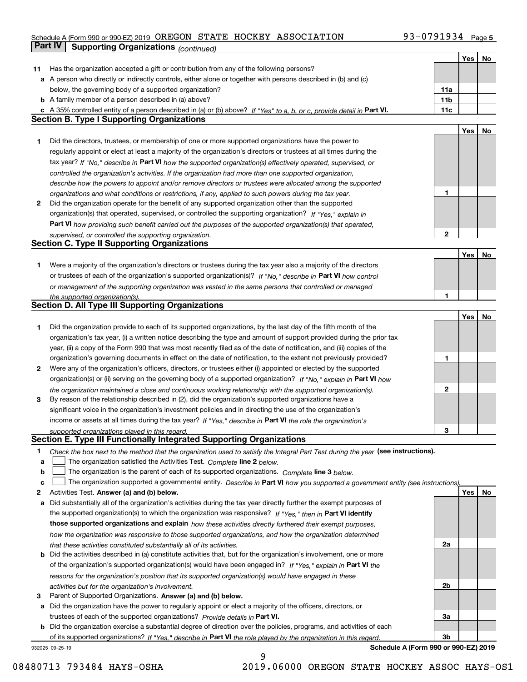|        | Part IV<br><b>Supporting Organizations (continued)</b>                                                                                                                  |                 |     |    |
|--------|-------------------------------------------------------------------------------------------------------------------------------------------------------------------------|-----------------|-----|----|
|        |                                                                                                                                                                         |                 | Yes | No |
| 11     | Has the organization accepted a gift or contribution from any of the following persons?                                                                                 |                 |     |    |
|        | a A person who directly or indirectly controls, either alone or together with persons described in (b) and (c)                                                          |                 |     |    |
|        | below, the governing body of a supported organization?                                                                                                                  | 11a             |     |    |
|        | <b>b</b> A family member of a person described in (a) above?                                                                                                            | 11 <sub>b</sub> |     |    |
|        | c A 35% controlled entity of a person described in (a) or (b) above? If "Yes" to a, b, or c, provide detail in Part VI.                                                 | 11c             |     |    |
|        | <b>Section B. Type I Supporting Organizations</b>                                                                                                                       |                 |     |    |
|        |                                                                                                                                                                         |                 | Yes | No |
| 1      | Did the directors, trustees, or membership of one or more supported organizations have the power to                                                                     |                 |     |    |
|        | regularly appoint or elect at least a majority of the organization's directors or trustees at all times during the                                                      |                 |     |    |
|        | tax year? If "No," describe in Part VI how the supported organization(s) effectively operated, supervised, or                                                           |                 |     |    |
|        | controlled the organization's activities. If the organization had more than one supported organization,                                                                 |                 |     |    |
|        | describe how the powers to appoint and/or remove directors or trustees were allocated among the supported                                                               |                 |     |    |
|        | organizations and what conditions or restrictions, if any, applied to such powers during the tax year.                                                                  | 1               |     |    |
| 2      | Did the organization operate for the benefit of any supported organization other than the supported                                                                     |                 |     |    |
|        | organization(s) that operated, supervised, or controlled the supporting organization? If "Yes," explain in                                                              |                 |     |    |
|        | Part VI how providing such benefit carried out the purposes of the supported organization(s) that operated,                                                             |                 |     |    |
|        | supervised, or controlled the supporting organization.                                                                                                                  | 2               |     |    |
|        | <b>Section C. Type II Supporting Organizations</b>                                                                                                                      |                 |     |    |
|        |                                                                                                                                                                         |                 | Yes | No |
| 1      | Were a majority of the organization's directors or trustees during the tax year also a majority of the directors                                                        |                 |     |    |
|        | or trustees of each of the organization's supported organization(s)? If "No," describe in Part VI how control                                                           |                 |     |    |
|        | or management of the supporting organization was vested in the same persons that controlled or managed                                                                  |                 |     |    |
|        | the supported organization(s).                                                                                                                                          | 1               |     |    |
|        | <b>Section D. All Type III Supporting Organizations</b>                                                                                                                 |                 |     |    |
|        |                                                                                                                                                                         |                 | Yes | No |
| 1      | Did the organization provide to each of its supported organizations, by the last day of the fifth month of the                                                          |                 |     |    |
|        | organization's tax year, (i) a written notice describing the type and amount of support provided during the prior tax                                                   |                 |     |    |
|        | year, (ii) a copy of the Form 990 that was most recently filed as of the date of notification, and (iii) copies of the                                                  |                 |     |    |
|        | organization's governing documents in effect on the date of notification, to the extent not previously provided?                                                        | 1               |     |    |
| 2      | Were any of the organization's officers, directors, or trustees either (i) appointed or elected by the supported                                                        |                 |     |    |
|        | organization(s) or (ii) serving on the governing body of a supported organization? If "No," explain in Part VI how                                                      |                 |     |    |
|        | the organization maintained a close and continuous working relationship with the supported organization(s).                                                             | 2               |     |    |
| 3      | By reason of the relationship described in (2), did the organization's supported organizations have a                                                                   |                 |     |    |
|        | significant voice in the organization's investment policies and in directing the use of the organization's                                                              |                 |     |    |
|        | income or assets at all times during the tax year? If "Yes," describe in Part VI the role the organization's                                                            |                 |     |    |
|        | supported organizations played in this regard.<br>Section E. Type III Functionally Integrated Supporting Organizations                                                  | З               |     |    |
|        |                                                                                                                                                                         |                 |     |    |
| 1      | Check the box next to the method that the organization used to satisfy the Integral Part Test during the year (see instructions).                                       |                 |     |    |
| a<br>b | The organization satisfied the Activities Test. Complete line 2 below.<br>The organization is the parent of each of its supported organizations. Complete line 3 below. |                 |     |    |
| c      | The organization supported a governmental entity. Describe in Part VI how you supported a government entity (see instructions),                                         |                 |     |    |
| 2      | Activities Test. Answer (a) and (b) below.                                                                                                                              |                 | Yes | No |
| а      | Did substantially all of the organization's activities during the tax year directly further the exempt purposes of                                                      |                 |     |    |
|        | the supported organization(s) to which the organization was responsive? If "Yes." then in Part VI identify                                                              |                 |     |    |
|        | those supported organizations and explain how these activities directly furthered their exempt purposes,                                                                |                 |     |    |
|        | how the organization was responsive to those supported organizations, and how the organization determined                                                               |                 |     |    |
|        | that these activities constituted substantially all of its activities.                                                                                                  | 2a              |     |    |
|        | <b>b</b> Did the activities described in (a) constitute activities that, but for the organization's involvement, one or more                                            |                 |     |    |
|        | of the organization's supported organization(s) would have been engaged in? If "Yes," explain in Part VI the                                                            |                 |     |    |
|        | reasons for the organization's position that its supported organization(s) would have engaged in these                                                                  |                 |     |    |
|        | activities but for the organization's involvement.                                                                                                                      | 2b              |     |    |
| з      | Parent of Supported Organizations. Answer (a) and (b) below.                                                                                                            |                 |     |    |
|        | a Did the organization have the power to regularly appoint or elect a majority of the officers, directors, or                                                           |                 |     |    |
|        | trustees of each of the supported organizations? Provide details in Part VI.                                                                                            | За              |     |    |
|        | <b>b</b> Did the organization exercise a substantial degree of direction over the policies, programs, and activities of each                                            |                 |     |    |
|        | of its supported organizations? If "Yes." describe in Part VI the role played by the organization in this regard.                                                       | 3b              |     |    |
|        |                                                                                                                                                                         |                 |     |    |

932025 09-25-19

**Schedule A (Form 990 or 990-EZ) 2019**

9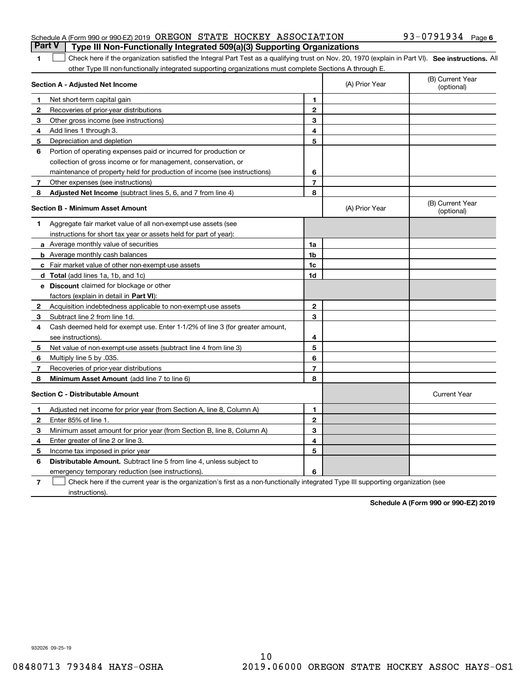|                                                                      |  | <b>Part V</b> Type III Non-Functionally Integrated 509(a)(3) Supporting Organizations |                   |  |
|----------------------------------------------------------------------|--|---------------------------------------------------------------------------------------|-------------------|--|
| Schedule A (Form 990 or 990-EZ) 2019 OREGON STATE HOCKEY ASSOCIATION |  |                                                                                       | 93-0791934 Page 6 |  |

#### 1 Check here if the organization satisfied the Integral Part Test as a qualifying trust on Nov. 20, 1970 (explain in Part VI). See instructions. All other Type III non-functionally integrated supporting organizations must complete Sections A through E.

|              | Section A - Adjusted Net Income                                                                                                   |                | (A) Prior Year | (B) Current Year<br>(optional) |
|--------------|-----------------------------------------------------------------------------------------------------------------------------------|----------------|----------------|--------------------------------|
| 1            | Net short-term capital gain                                                                                                       | 1              |                |                                |
| 2            | Recoveries of prior-year distributions                                                                                            | $\mathbf{2}$   |                |                                |
| 3            | Other gross income (see instructions)                                                                                             | 3              |                |                                |
| 4            | Add lines 1 through 3.                                                                                                            | 4              |                |                                |
| 5            | Depreciation and depletion                                                                                                        | 5              |                |                                |
| 6            | Portion of operating expenses paid or incurred for production or                                                                  |                |                |                                |
|              | collection of gross income or for management, conservation, or                                                                    |                |                |                                |
|              | maintenance of property held for production of income (see instructions)                                                          | 6              |                |                                |
| 7            | Other expenses (see instructions)                                                                                                 | $\overline{7}$ |                |                                |
| 8            | Adjusted Net Income (subtract lines 5, 6, and 7 from line 4)                                                                      | 8              |                |                                |
|              | <b>Section B - Minimum Asset Amount</b>                                                                                           |                | (A) Prior Year | (B) Current Year<br>(optional) |
| 1.           | Aggregate fair market value of all non-exempt-use assets (see                                                                     |                |                |                                |
|              | instructions for short tax year or assets held for part of year):                                                                 |                |                |                                |
|              | a Average monthly value of securities                                                                                             | 1a             |                |                                |
|              | <b>b</b> Average monthly cash balances                                                                                            | 1 <sub>b</sub> |                |                                |
|              | c Fair market value of other non-exempt-use assets                                                                                | 1c             |                |                                |
|              | d Total (add lines 1a, 1b, and 1c)                                                                                                | 1d             |                |                                |
|              | e Discount claimed for blockage or other                                                                                          |                |                |                                |
|              | factors (explain in detail in Part VI):                                                                                           |                |                |                                |
| $\mathbf{2}$ | Acquisition indebtedness applicable to non-exempt-use assets                                                                      | $\mathbf{2}$   |                |                                |
| 3            | Subtract line 2 from line 1d.                                                                                                     | 3              |                |                                |
| 4            | Cash deemed held for exempt use. Enter 1-1/2% of line 3 (for greater amount,                                                      |                |                |                                |
|              | see instructions).                                                                                                                | 4              |                |                                |
| 5            | Net value of non-exempt-use assets (subtract line 4 from line 3)                                                                  | 5              |                |                                |
| 6            | Multiply line 5 by .035.                                                                                                          | 6              |                |                                |
| 7            | Recoveries of prior-year distributions                                                                                            | $\overline{7}$ |                |                                |
| 8            | Minimum Asset Amount (add line 7 to line 6)                                                                                       | 8              |                |                                |
|              | <b>Section C - Distributable Amount</b>                                                                                           |                |                | <b>Current Year</b>            |
| 1            | Adjusted net income for prior year (from Section A, line 8, Column A)                                                             | 1              |                |                                |
| 2            | Enter 85% of line 1.                                                                                                              | $\overline{2}$ |                |                                |
| 3            | Minimum asset amount for prior year (from Section B, line 8, Column A)                                                            | 3              |                |                                |
| 4            | Enter greater of line 2 or line 3.                                                                                                | 4              |                |                                |
| 5            | Income tax imposed in prior year                                                                                                  | 5              |                |                                |
| 6            | <b>Distributable Amount.</b> Subtract line 5 from line 4, unless subject to                                                       |                |                |                                |
|              | emergency temporary reduction (see instructions).                                                                                 | 6              |                |                                |
| 7            | Check here if the current year is the organization's first as a non-functionally integrated Type III supporting organization (see |                |                |                                |

instructions).

**1**

**Schedule A (Form 990 or 990-EZ) 2019**

932026 09-25-19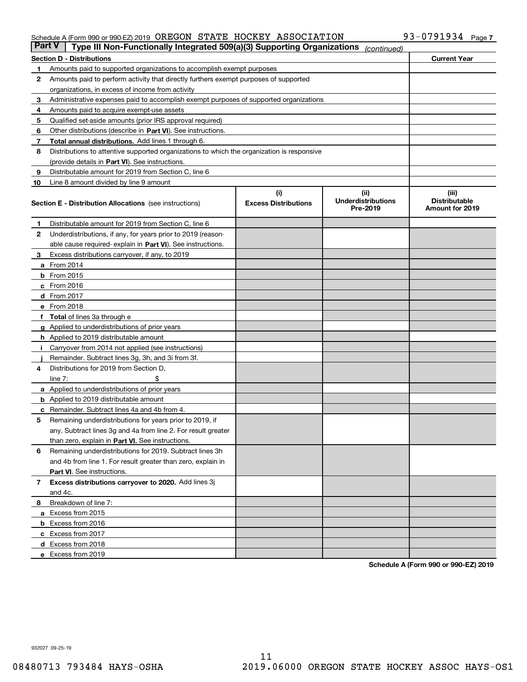| <b>Part V</b> | Type III Non-Functionally Integrated 509(a)(3) Supporting Organizations                    |                             | (continued)                           |                                         |
|---------------|--------------------------------------------------------------------------------------------|-----------------------------|---------------------------------------|-----------------------------------------|
|               | <b>Section D - Distributions</b>                                                           |                             |                                       | <b>Current Year</b>                     |
| 1             | Amounts paid to supported organizations to accomplish exempt purposes                      |                             |                                       |                                         |
| 2             | Amounts paid to perform activity that directly furthers exempt purposes of supported       |                             |                                       |                                         |
|               | organizations, in excess of income from activity                                           |                             |                                       |                                         |
| 3             | Administrative expenses paid to accomplish exempt purposes of supported organizations      |                             |                                       |                                         |
| 4             | Amounts paid to acquire exempt-use assets                                                  |                             |                                       |                                         |
| 5             | Qualified set-aside amounts (prior IRS approval required)                                  |                             |                                       |                                         |
| 6             | Other distributions (describe in Part VI). See instructions.                               |                             |                                       |                                         |
| 7             | <b>Total annual distributions.</b> Add lines 1 through 6.                                  |                             |                                       |                                         |
| 8             | Distributions to attentive supported organizations to which the organization is responsive |                             |                                       |                                         |
|               | (provide details in Part VI). See instructions.                                            |                             |                                       |                                         |
| 9             | Distributable amount for 2019 from Section C, line 6                                       |                             |                                       |                                         |
| 10            | Line 8 amount divided by line 9 amount                                                     |                             |                                       |                                         |
|               |                                                                                            | (i)                         | (iii)                                 | (iii)                                   |
|               | <b>Section E - Distribution Allocations</b> (see instructions)                             | <b>Excess Distributions</b> | <b>Underdistributions</b><br>Pre-2019 | <b>Distributable</b><br>Amount for 2019 |
| 1             | Distributable amount for 2019 from Section C, line 6                                       |                             |                                       |                                         |
| 2             | Underdistributions, if any, for years prior to 2019 (reason-                               |                             |                                       |                                         |
|               | able cause required- explain in Part VI). See instructions.                                |                             |                                       |                                         |
| З             | Excess distributions carryover, if any, to 2019                                            |                             |                                       |                                         |
|               | <b>a</b> From 2014                                                                         |                             |                                       |                                         |
|               | <b>b</b> From 2015                                                                         |                             |                                       |                                         |
|               | $c$ From 2016                                                                              |                             |                                       |                                         |
|               | d From 2017                                                                                |                             |                                       |                                         |
|               | e From 2018                                                                                |                             |                                       |                                         |
|               | Total of lines 3a through e                                                                |                             |                                       |                                         |
| g             | Applied to underdistributions of prior years                                               |                             |                                       |                                         |
|               | <b>h</b> Applied to 2019 distributable amount                                              |                             |                                       |                                         |
|               | Carryover from 2014 not applied (see instructions)                                         |                             |                                       |                                         |
|               | Remainder. Subtract lines 3g, 3h, and 3i from 3f.                                          |                             |                                       |                                         |
| 4             | Distributions for 2019 from Section D,                                                     |                             |                                       |                                         |
|               | line $7:$                                                                                  |                             |                                       |                                         |
|               | <b>a</b> Applied to underdistributions of prior years                                      |                             |                                       |                                         |
|               | <b>b</b> Applied to 2019 distributable amount                                              |                             |                                       |                                         |
|               | c Remainder. Subtract lines 4a and 4b from 4.                                              |                             |                                       |                                         |
| 5             | Remaining underdistributions for years prior to 2019, if                                   |                             |                                       |                                         |
|               | any. Subtract lines 3g and 4a from line 2. For result greater                              |                             |                                       |                                         |
|               | than zero, explain in Part VI. See instructions.                                           |                             |                                       |                                         |
| 6             | Remaining underdistributions for 2019. Subtract lines 3h                                   |                             |                                       |                                         |
|               | and 4b from line 1. For result greater than zero, explain in                               |                             |                                       |                                         |
|               | Part VI. See instructions.                                                                 |                             |                                       |                                         |
|               |                                                                                            |                             |                                       |                                         |
| 7             | Excess distributions carryover to 2020. Add lines 3j                                       |                             |                                       |                                         |
|               | and 4c.                                                                                    |                             |                                       |                                         |
| 8             | Breakdown of line 7:                                                                       |                             |                                       |                                         |
|               | a Excess from 2015                                                                         |                             |                                       |                                         |
|               | <b>b</b> Excess from 2016                                                                  |                             |                                       |                                         |
|               | c Excess from 2017                                                                         |                             |                                       |                                         |
|               | d Excess from 2018                                                                         |                             |                                       |                                         |
|               | e Excess from 2019                                                                         |                             |                                       |                                         |

**Schedule A (Form 990 or 990-EZ) 2019**

932027 09-25-19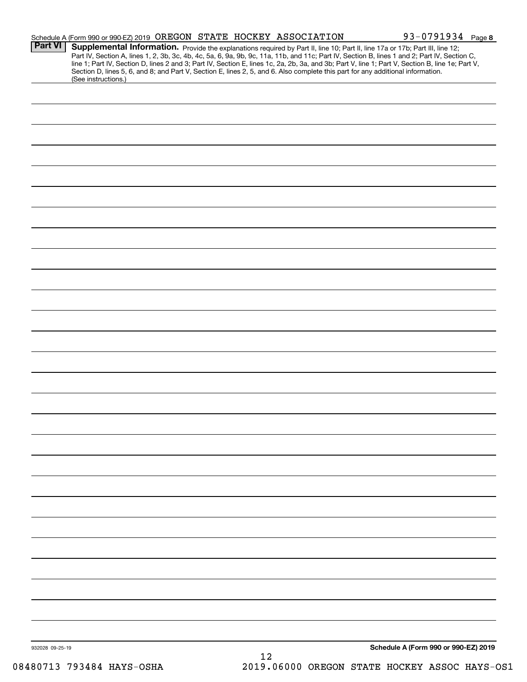|                 | Schedule A (Form 990 or 990-EZ) 2019 OREGON STATE HOCKEY ASSOCIATION                                                                                                                                                                                                                                                                                                                                                              |    | 93-0791934 Page 8                    |
|-----------------|-----------------------------------------------------------------------------------------------------------------------------------------------------------------------------------------------------------------------------------------------------------------------------------------------------------------------------------------------------------------------------------------------------------------------------------|----|--------------------------------------|
| <b>Part VI</b>  | Supplemental Information. Provide the explanations required by Part II, line 10; Part II, line 17a or 17b; Part III, line 12;<br>Part IV, Section A, lines 1, 2, 3b, 3c, 4b, 4c, 5a, 6, 9a, 9b, 9c, 11a, 11b, and 11c; Part IV, Section B, lines 1 and 2; Part IV, Section C,<br>line 1; Part IV, Section D, lines 2 and 3; Part IV, Section E, lines 1c, 2a, 2b, 3a, and 3b; Part V, line 1; Part V, Section B, line 1e; Part V, |    |                                      |
|                 | Section D, lines 5, 6, and 8; and Part V, Section E, lines 2, 5, and 6. Also complete this part for any additional information.<br>(See instructions.)                                                                                                                                                                                                                                                                            |    |                                      |
|                 |                                                                                                                                                                                                                                                                                                                                                                                                                                   |    |                                      |
|                 |                                                                                                                                                                                                                                                                                                                                                                                                                                   |    |                                      |
|                 |                                                                                                                                                                                                                                                                                                                                                                                                                                   |    |                                      |
|                 |                                                                                                                                                                                                                                                                                                                                                                                                                                   |    |                                      |
|                 |                                                                                                                                                                                                                                                                                                                                                                                                                                   |    |                                      |
|                 |                                                                                                                                                                                                                                                                                                                                                                                                                                   |    |                                      |
|                 |                                                                                                                                                                                                                                                                                                                                                                                                                                   |    |                                      |
|                 |                                                                                                                                                                                                                                                                                                                                                                                                                                   |    |                                      |
|                 |                                                                                                                                                                                                                                                                                                                                                                                                                                   |    |                                      |
|                 |                                                                                                                                                                                                                                                                                                                                                                                                                                   |    |                                      |
|                 |                                                                                                                                                                                                                                                                                                                                                                                                                                   |    |                                      |
|                 |                                                                                                                                                                                                                                                                                                                                                                                                                                   |    |                                      |
|                 |                                                                                                                                                                                                                                                                                                                                                                                                                                   |    |                                      |
|                 |                                                                                                                                                                                                                                                                                                                                                                                                                                   |    |                                      |
|                 |                                                                                                                                                                                                                                                                                                                                                                                                                                   |    |                                      |
|                 |                                                                                                                                                                                                                                                                                                                                                                                                                                   |    |                                      |
|                 |                                                                                                                                                                                                                                                                                                                                                                                                                                   |    |                                      |
|                 |                                                                                                                                                                                                                                                                                                                                                                                                                                   |    |                                      |
|                 |                                                                                                                                                                                                                                                                                                                                                                                                                                   |    |                                      |
|                 |                                                                                                                                                                                                                                                                                                                                                                                                                                   |    |                                      |
|                 |                                                                                                                                                                                                                                                                                                                                                                                                                                   |    |                                      |
|                 |                                                                                                                                                                                                                                                                                                                                                                                                                                   |    |                                      |
|                 |                                                                                                                                                                                                                                                                                                                                                                                                                                   |    |                                      |
|                 |                                                                                                                                                                                                                                                                                                                                                                                                                                   |    |                                      |
|                 |                                                                                                                                                                                                                                                                                                                                                                                                                                   |    |                                      |
|                 |                                                                                                                                                                                                                                                                                                                                                                                                                                   |    |                                      |
|                 |                                                                                                                                                                                                                                                                                                                                                                                                                                   |    |                                      |
|                 |                                                                                                                                                                                                                                                                                                                                                                                                                                   |    |                                      |
|                 |                                                                                                                                                                                                                                                                                                                                                                                                                                   |    |                                      |
|                 |                                                                                                                                                                                                                                                                                                                                                                                                                                   |    |                                      |
|                 |                                                                                                                                                                                                                                                                                                                                                                                                                                   |    |                                      |
|                 |                                                                                                                                                                                                                                                                                                                                                                                                                                   |    |                                      |
|                 |                                                                                                                                                                                                                                                                                                                                                                                                                                   |    |                                      |
|                 |                                                                                                                                                                                                                                                                                                                                                                                                                                   |    |                                      |
|                 |                                                                                                                                                                                                                                                                                                                                                                                                                                   |    |                                      |
|                 |                                                                                                                                                                                                                                                                                                                                                                                                                                   |    |                                      |
|                 |                                                                                                                                                                                                                                                                                                                                                                                                                                   |    |                                      |
| 932028 09-25-19 |                                                                                                                                                                                                                                                                                                                                                                                                                                   |    | Schedule A (Form 990 or 990-EZ) 2019 |
|                 |                                                                                                                                                                                                                                                                                                                                                                                                                                   | 12 |                                      |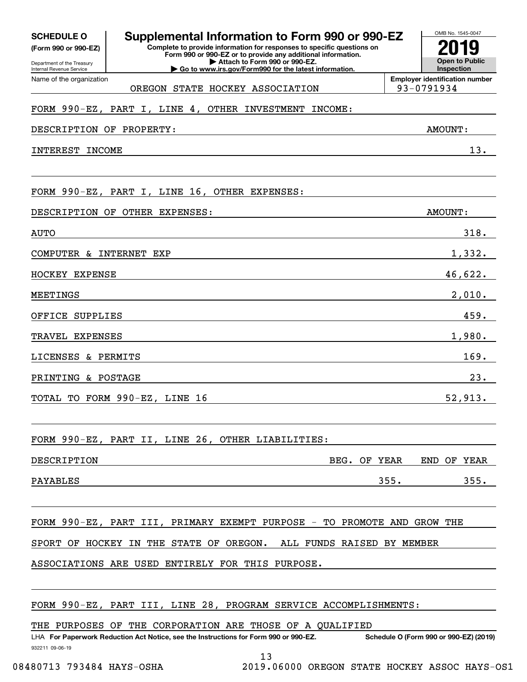**(Form 990 or 990-EZ)**

Department of the Treasury Internal Revenue Service Name of the organization

#### OMB No. 1545-0047 **Complete to provide information for responses to specific questions on Form 990 or 990-EZ or to provide any additional information. SCHEDULE O Supplemental Information to Form 990 or 990-EZ 2019**

**| Attach to Form 990 or 990-EZ. | Go to www.irs.gov/Form990 for the latest information.**

**Open to Public InspectionEmployer identification number** OREGON STATE HOCKEY ASSOCIATION | 93-0791934

# FORM 990-EZ, PART I, LINE 4, OTHER INVESTMENT INCOME:

DESCRIPTION OF PROPERTY: AMOUNT:

INTEREST INCOME 13.

|      |                                |  |  |  | FORM 990-EZ, PART I, LINE 16, OTHER EXPENSES: |  |         |  |
|------|--------------------------------|--|--|--|-----------------------------------------------|--|---------|--|
|      | DESCRIPTION OF OTHER EXPENSES: |  |  |  |                                               |  | AMOUNT: |  |
| AUTO |                                |  |  |  |                                               |  | 318.    |  |
|      | COMPUTER & INTERNET EXP        |  |  |  |                                               |  | 1,332.  |  |
|      |                                |  |  |  |                                               |  |         |  |

HOCKEY EXPENSE 46,622.

MEETINGS 2,010.

OFFICE SUPPLIES 459.

TRAVEL EXPENSES 1,980.

LICENSES & PERMITS 169.

PRINTING & POSTAGE 23.

TOTAL TO FORM  $990 - EZ$ , LINE 16 52,913.

FORM 990-EZ, PART II, LINE 26, OTHER LIABILITIES:

| DESCRIPTION | YEAR<br>BEG.<br>ОF | END<br>YEAR<br>ΟF |
|-------------|--------------------|-------------------|
| PAYABLES    | 355.               | 355               |

FORM 990-EZ, PART III, PRIMARY EXEMPT PURPOSE - TO PROMOTE AND GROW THE

SPORT OF HOCKEY IN THE STATE OF OREGON. ALL FUNDS RAISED BY MEMBER

ASSOCIATIONS ARE USED ENTIRELY FOR THIS PURPOSE.

#### FORM 990-EZ, PART III, LINE 28, PROGRAM SERVICE ACCOMPLISHMENTS:

THE PURPOSES OF THE CORPORATION ARE THOSE OF A QUALIFIED

932211 09-06-19 LHA For Paperwork Reduction Act Notice, see the Instructions for Form 990 or 990-EZ. Schedule O (Form 990 or 990-EZ) (2019)

13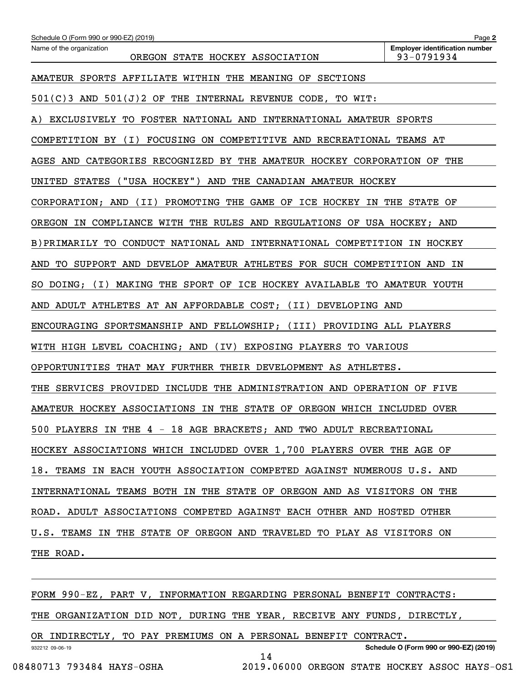| Schedule O (Form 990 or 990-EZ) (2019)                                              | Page 2                                              |  |  |  |  |  |
|-------------------------------------------------------------------------------------|-----------------------------------------------------|--|--|--|--|--|
| Name of the organization<br>OREGON STATE HOCKEY ASSOCIATION                         | <b>Employer identification number</b><br>93-0791934 |  |  |  |  |  |
| AMATEUR SPORTS AFFILIATE WITHIN THE MEANING OF SECTIONS                             |                                                     |  |  |  |  |  |
| $501(C)3$ AND $501(J)2$ OF THE INTERNAL REVENUE CODE, TO WIT:                       |                                                     |  |  |  |  |  |
| EXCLUSIVELY TO FOSTER NATIONAL AND INTERNATIONAL AMATEUR SPORTS<br>A)               |                                                     |  |  |  |  |  |
| FOCUSING ON COMPETITIVE AND RECREATIONAL TEAMS AT<br>COMPETITION BY<br>( I )        |                                                     |  |  |  |  |  |
| AND CATEGORIES RECOGNIZED BY THE AMATEUR HOCKEY CORPORATION OF<br>AGES              | THE                                                 |  |  |  |  |  |
| $($ "USA HOCKEY" $)$<br>AND<br>THE CANADIAN AMATEUR HOCKEY<br>UNITED STATES         |                                                     |  |  |  |  |  |
| CORPORATION; AND<br>(II)<br>PROMOTING THE GAME OF ICE HOCKEY IN                     | THE STATE OF                                        |  |  |  |  |  |
| OREGON IN COMPLIANCE WITH THE RULES AND REGULATIONS OF USA HOCKEY; AND              |                                                     |  |  |  |  |  |
| B) PRIMARILY TO<br>CONDUCT NATIONAL AND INTERNATIONAL COMPETITION IN HOCKEY         |                                                     |  |  |  |  |  |
| SUPPORT AND DEVELOP AMATEUR ATHLETES FOR SUCH COMPETITION AND<br>AND<br>TO.         | ΙN                                                  |  |  |  |  |  |
| DOING;<br>( I )<br>MAKING THE SPORT OF ICE HOCKEY AVAILABLE TO AMATEUR YOUTH<br>SO. |                                                     |  |  |  |  |  |
| ADULT ATHLETES AT AN AFFORDABLE COST;<br>(II)<br>DEVELOPING AND<br>AND              |                                                     |  |  |  |  |  |
| ENCOURAGING SPORTSMANSHIP AND FELLOWSHIP; (III) PROVIDING ALL PLAYERS               |                                                     |  |  |  |  |  |
| WITH HIGH LEVEL COACHING; AND<br>(IV)<br>EXPOSING PLAYERS<br><b>TO VARIOUS</b>      |                                                     |  |  |  |  |  |
| OPPORTUNITIES THAT MAY FURTHER THEIR DEVELOPMENT AS ATHLETES.                       |                                                     |  |  |  |  |  |
| SERVICES PROVIDED<br>INCLUDE THE ADMINISTRATION AND OPERATION OF<br>THE             | FIVE                                                |  |  |  |  |  |
| AMATEUR HOCKEY ASSOCIATIONS IN THE STATE OF OREGON WHICH                            | INCLUDED<br>OVER                                    |  |  |  |  |  |
| 500 PLAYERS IN THE 4 - 18 AGE BRACKETS; AND TWO ADULT RECREATIONAL                  |                                                     |  |  |  |  |  |
| HOCKEY ASSOCIATIONS WHICH INCLUDED OVER 1,700 PLAYERS OVER THE AGE OF               |                                                     |  |  |  |  |  |
| 18. TEAMS IN EACH YOUTH ASSOCIATION COMPETED AGAINST NUMEROUS U.S. AND              |                                                     |  |  |  |  |  |
| INTERNATIONAL TEAMS BOTH IN THE STATE OF OREGON AND AS VISITORS ON THE              |                                                     |  |  |  |  |  |
| ROAD. ADULT ASSOCIATIONS COMPETED AGAINST EACH OTHER AND HOSTED OTHER               |                                                     |  |  |  |  |  |
| U.S. TEAMS IN THE STATE OF OREGON AND TRAVELED TO PLAY AS VISITORS ON               |                                                     |  |  |  |  |  |
| THE ROAD.                                                                           |                                                     |  |  |  |  |  |
|                                                                                     |                                                     |  |  |  |  |  |

932212 09-06-19 **Schedule O (Form 990 or 990-EZ) (2019)** FORM 990-EZ, PART V, INFORMATION REGARDING PERSONAL BENEFIT CONTRACTS: THE ORGANIZATION DID NOT, DURING THE YEAR, RECEIVE ANY FUNDS, DIRECTLY, OR INDIRECTLY, TO PAY PREMIUMS ON A PERSONAL BENEFIT CONTRACT.

14